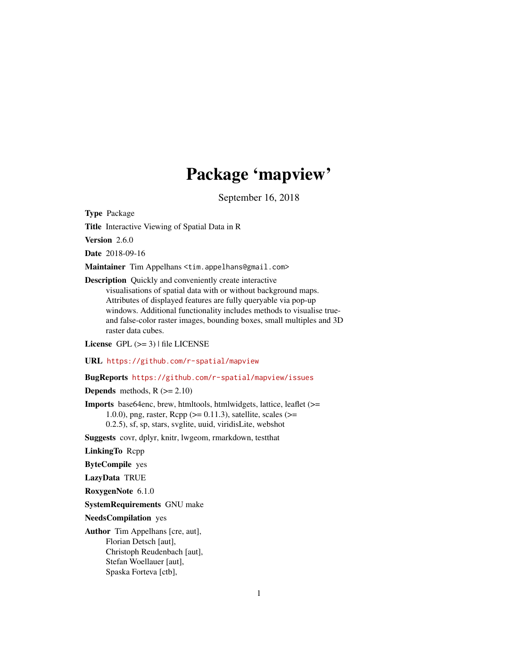# Package 'mapview'

September 16, 2018

<span id="page-0-0"></span>Type Package

Title Interactive Viewing of Spatial Data in R

Version 2.6.0

Date 2018-09-16

Maintainer Tim Appelhans <tim.appelhans@gmail.com>

Description Quickly and conveniently create interactive visualisations of spatial data with or without background maps.

Attributes of displayed features are fully queryable via pop-up windows. Additional functionality includes methods to visualise trueand false-color raster images, bounding boxes, small multiples and 3D raster data cubes.

License GPL  $(>= 3)$  | file LICENSE

URL <https://github.com/r-spatial/mapview>

## BugReports <https://github.com/r-spatial/mapview/issues>

**Depends** methods,  $R$  ( $>= 2.10$ )

Imports base64enc, brew, htmltools, htmlwidgets, lattice, leaflet (>= 1.0.0), png, raster,  $\text{Rcpp} (> = 0.11.3)$ , satellite, scales (>= 0.2.5), sf, sp, stars, svglite, uuid, viridisLite, webshot

Suggests covr, dplyr, knitr, lwgeom, rmarkdown, testthat

LinkingTo Rcpp

ByteCompile yes

LazyData TRUE

RoxygenNote 6.1.0

SystemRequirements GNU make

NeedsCompilation yes

Author Tim Appelhans [cre, aut], Florian Detsch [aut], Christoph Reudenbach [aut], Stefan Woellauer [aut], Spaska Forteva [ctb],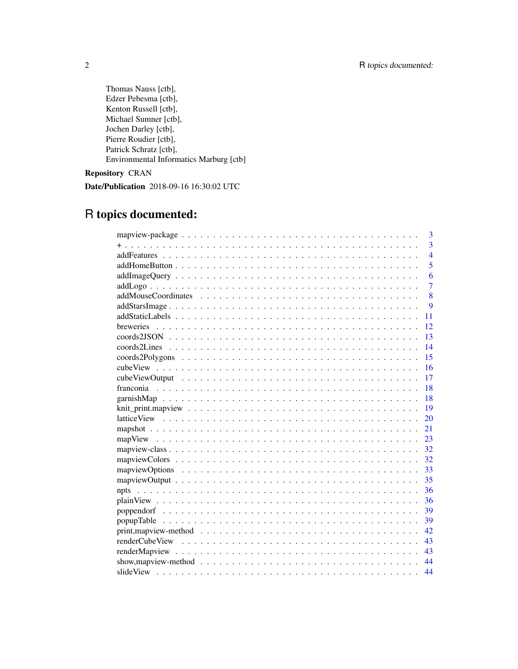Thomas Nauss [ctb], Edzer Pebesma [ctb], Kenton Russell [ctb], Michael Sumner [ctb], Jochen Darley [ctb], Pierre Roudier [ctb], Patrick Schratz [ctb], Environmental Informatics Marburg [ctb]

Repository CRAN

Date/Publication 2018-09-16 16:30:02 UTC

## R topics documented:

| 3                                                                                                          |
|------------------------------------------------------------------------------------------------------------|
| 3                                                                                                          |
| $\overline{4}$                                                                                             |
| 5                                                                                                          |
| 6                                                                                                          |
| 7                                                                                                          |
| 8                                                                                                          |
| $\mathbf Q$                                                                                                |
| 11                                                                                                         |
| breweries<br>12                                                                                            |
| 13                                                                                                         |
| 14                                                                                                         |
| 15                                                                                                         |
| 16                                                                                                         |
| 17                                                                                                         |
| 18                                                                                                         |
| 18                                                                                                         |
| 19                                                                                                         |
| 20                                                                                                         |
| 21                                                                                                         |
| 23                                                                                                         |
| 32                                                                                                         |
| 32                                                                                                         |
| 33                                                                                                         |
| 35                                                                                                         |
| 36                                                                                                         |
| 36                                                                                                         |
| 39                                                                                                         |
| 39<br>popupTable                                                                                           |
| 42                                                                                                         |
| 43                                                                                                         |
| 43                                                                                                         |
| show, map view-method $\ldots \ldots \ldots \ldots \ldots \ldots \ldots \ldots \ldots \ldots \ldots$<br>44 |
| 44                                                                                                         |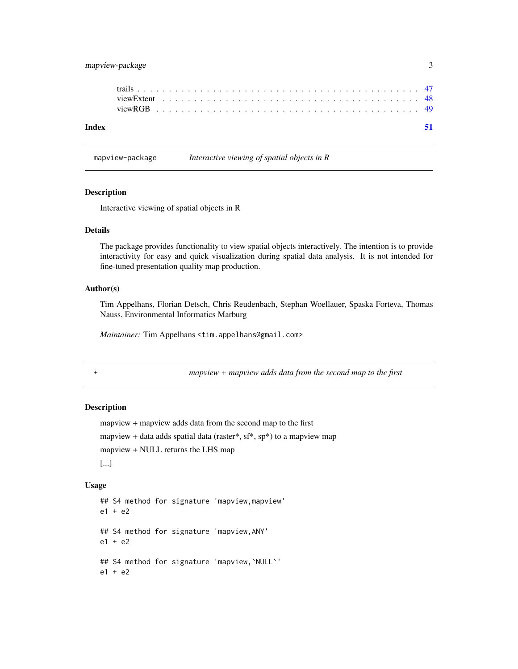## <span id="page-2-0"></span>mapview-package 3

| Index |  |  |  |  |  |  |  |  |  |  |  |  |  |  |  |  |  |  |  |  |  |
|-------|--|--|--|--|--|--|--|--|--|--|--|--|--|--|--|--|--|--|--|--|--|
|       |  |  |  |  |  |  |  |  |  |  |  |  |  |  |  |  |  |  |  |  |  |
|       |  |  |  |  |  |  |  |  |  |  |  |  |  |  |  |  |  |  |  |  |  |

#### mapview-package *Interactive viewing of spatial objects in R*

#### Description

Interactive viewing of spatial objects in R

## Details

The package provides functionality to view spatial objects interactively. The intention is to provide interactivity for easy and quick visualization during spatial data analysis. It is not intended for fine-tuned presentation quality map production.

## Author(s)

Tim Appelhans, Florian Detsch, Chris Reudenbach, Stephan Woellauer, Spaska Forteva, Thomas Nauss, Environmental Informatics Marburg

*Maintainer:* Tim Appelhans <tim.appelhans@gmail.com>

+ *mapview + mapview adds data from the second map to the first*

#### Description

```
mapview + mapview adds data from the second map to the first
mapview + data adds spatial data (raster*, sf^*, sp^*) to a mapview map
mapview + NULL returns the LHS map
[...]
```
#### Usage

```
## S4 method for signature 'mapview,mapview'
e1 + e2
## S4 method for signature 'mapview,ANY'
e1 + e2
## S4 method for signature 'mapview,`NULL`'
e1 + e2
```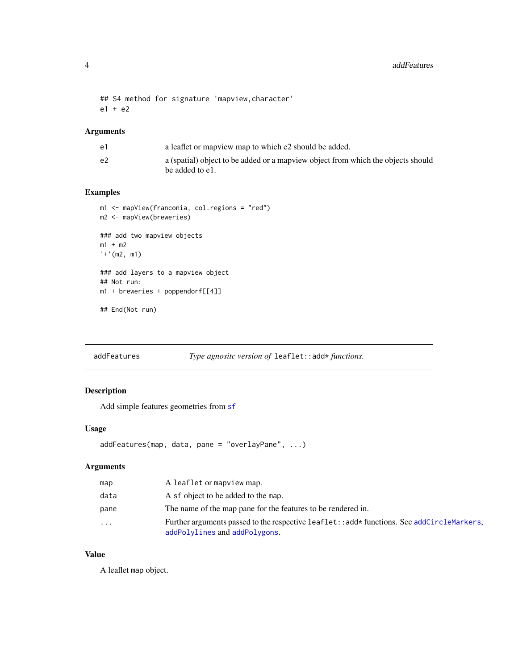```
## S4 method for signature 'mapview,character'
e1 + e2
```
## Arguments

| e1 | a leaflet or map is map to which e2 should be added.                                                 |
|----|------------------------------------------------------------------------------------------------------|
| e2 | a (spatial) object to be added or a map view object from which the objects should<br>be added to e1. |

## Examples

```
m1 <- mapView(franconia, col.regions = "red")
m2 <- mapView(breweries)
### add two mapview objects
m1 + m2
'+'(m2, m1)
### add layers to a mapview object
## Not run:
m1 + breweries + poppendorf[[4]]
## End(Not run)
```
addFeatures *Type agnositc version of* leaflet::add\* *functions.*

## Description

Add simple features geometries from [sf](#page-0-0)

## Usage

```
addFeatures(map, data, pane = "overlayPane", ...)
```
## Arguments

| map      | A leaflet or mapview map.                                                                                                 |
|----------|---------------------------------------------------------------------------------------------------------------------------|
| data     | A sf object to be added to the map.                                                                                       |
| pane     | The name of the map pane for the features to be rendered in.                                                              |
| $\cdots$ | Further arguments passed to the respective leaflet::add*functions. See addCircleMarkers,<br>addPolylines and addPolygons. |

## Value

A leaflet map object.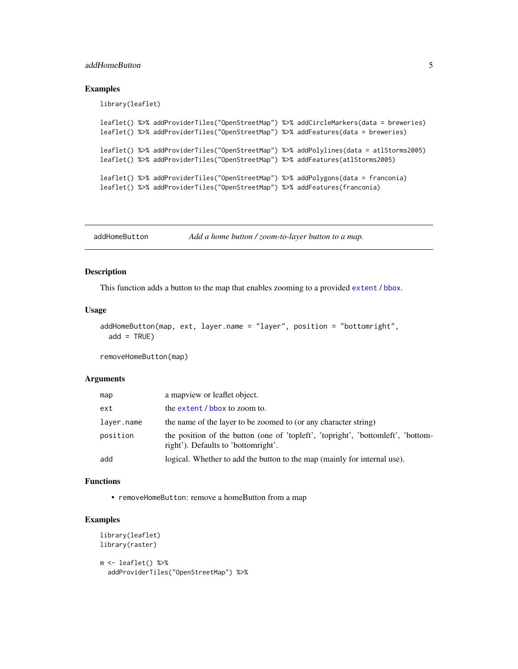## <span id="page-4-0"></span>addHomeButton 5

## Examples

library(leaflet)

```
leaflet() %>% addProviderTiles("OpenStreetMap") %>% addCircleMarkers(data = breweries)
leaflet() %>% addProviderTiles("OpenStreetMap") %>% addFeatures(data = breweries)
leaflet() %>% addProviderTiles("OpenStreetMap") %>% addPolylines(data = atlStorms2005)
leaflet() %>% addProviderTiles("OpenStreetMap") %>% addFeatures(atlStorms2005)
leaflet() %>% addProviderTiles("OpenStreetMap") %>% addPolygons(data = franconia)
leaflet() %>% addProviderTiles("OpenStreetMap") %>% addFeatures(franconia)
```
addHomeButton *Add a home button / zoom-to-layer button to a map.*

#### Description

This function adds a button to the map that enables zooming to a provided [extent](#page-0-0) / [bbox](#page-0-0).

#### Usage

```
addHomeButton(map, ext, layer.name = "layer", position = "bottomright",
 add = TRUE)
```
removeHomeButton(map)

#### Arguments

| map        | a map view or leaflet object.                                                                                           |
|------------|-------------------------------------------------------------------------------------------------------------------------|
| ext        | the extent / bbox to zoom to.                                                                                           |
| laver.name | the name of the layer to be zoomed to (or any character string)                                                         |
| position   | the position of the button (one of 'topieft', 'topinght', 'bottometht', 'bottom-<br>right'). Defaults to 'bottomright'. |
| add        | logical. Whether to add the button to the map (mainly for internal use).                                                |

#### Functions

• removeHomeButton: remove a homeButton from a map

## Examples

```
library(leaflet)
library(raster)
```

```
m <- leaflet() %>%
 addProviderTiles("OpenStreetMap") %>%
```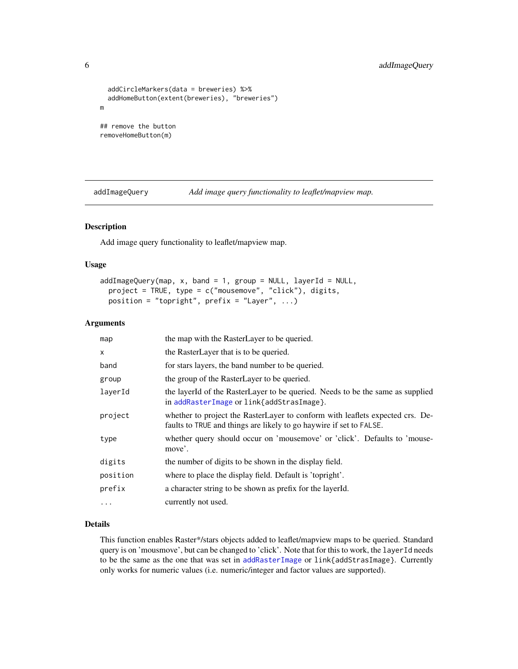```
addCircleMarkers(data = breweries) %>%
  addHomeButton(extent(breweries), "breweries")
m
## remove the button
```
removeHomeButton(m)

addImageQuery *Add image query functionality to leaflet/mapview map.*

#### Description

Add image query functionality to leaflet/mapview map.

#### Usage

```
addImageQuery(map, x, band = 1, group = NULL, layerId = NULL,project = TRUE, type = c("mousemove", "click"), digits,
 position = "topright", prefix = "Layer", ...)
```
#### Arguments

| map       | the map with the RasterLayer to be queried.                                                                                                          |
|-----------|------------------------------------------------------------------------------------------------------------------------------------------------------|
| X         | the RasterLayer that is to be queried.                                                                                                               |
| band      | for stars layers, the band number to be queried.                                                                                                     |
| group     | the group of the RasterLayer to be queried.                                                                                                          |
| layerId   | the layerId of the RasterLayer to be queried. Needs to be the same as supplied<br>in addRasterImage or link{addStrasImage}.                          |
| project   | whether to project the RasterLayer to conform with leaflets expected crs. De-<br>faults to TRUE and things are likely to go haywire if set to FALSE. |
| type      | whether query should occur on 'mousemove' or 'click'. Defaults to 'mouse-<br>move'.                                                                  |
| digits    | the number of digits to be shown in the display field.                                                                                               |
| position  | where to place the display field. Default is 'topright'.                                                                                             |
| prefix    | a character string to be shown as prefix for the layerId.                                                                                            |
| $\ddotsc$ | currently not used.                                                                                                                                  |

#### Details

This function enables Raster\*/stars objects added to leaflet/mapview maps to be queried. Standard query is on 'mousmove', but can be changed to 'click'. Note that for this to work, the layerId needs to be the same as the one that was set in [addRasterImage](#page-0-0) or link{addStrasImage}. Currently only works for numeric values (i.e. numeric/integer and factor values are supported).

<span id="page-5-0"></span>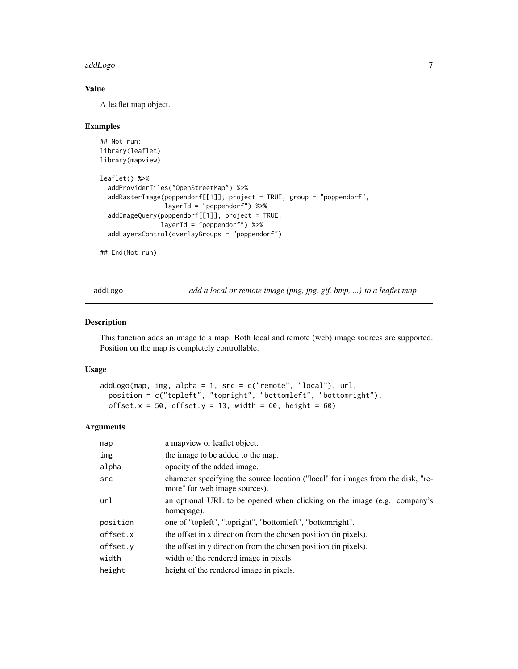#### <span id="page-6-0"></span>addLogo 7

## Value

A leaflet map object.

#### Examples

```
## Not run:
library(leaflet)
library(mapview)
leaflet() %>%
  addProviderTiles("OpenStreetMap") %>%
  addRasterImage(poppendorf[[1]], project = TRUE, group = "poppendorf",
                 layerId = "poppendorf") %>%
  addImageQuery(poppendorf[[1]], project = TRUE,
                layerId = "poppendorf") %>%
  addLayersControl(overlayGroups = "poppendorf")
```
## End(Not run)

addLogo *add a local or remote image (png, jpg, gif, bmp, ...) to a leaflet map*

#### Description

This function adds an image to a map. Both local and remote (web) image sources are supported. Position on the map is completely controllable.

#### Usage

```
addLogo(map, img, alpha = 1, src = c("remote", "local"), url,
 position = c("topleft", "topright", "bottomleft", "bottomright"),
 offset.x = 50, offset.y = 13, width = 60, height = 60)
```

| map      | a mapview or leaflet object.                                                                                      |
|----------|-------------------------------------------------------------------------------------------------------------------|
| img      | the image to be added to the map.                                                                                 |
| alpha    | opacity of the added image.                                                                                       |
| src      | character specifying the source location ("local" for images from the disk, "re-<br>mote" for web image sources). |
| url      | an optional URL to be opened when clicking on the image (e.g. company's<br>homepage).                             |
| position | one of "topleft", "topright", "bottomleft", "bottomright".                                                        |
| offset.x |                                                                                                                   |
|          | the offset in x direction from the chosen position (in pixels).                                                   |
| offset.y | the offset in y direction from the chosen position (in pixels).                                                   |
| width    | width of the rendered image in pixels.                                                                            |
| height   | height of the rendered image in pixels.                                                                           |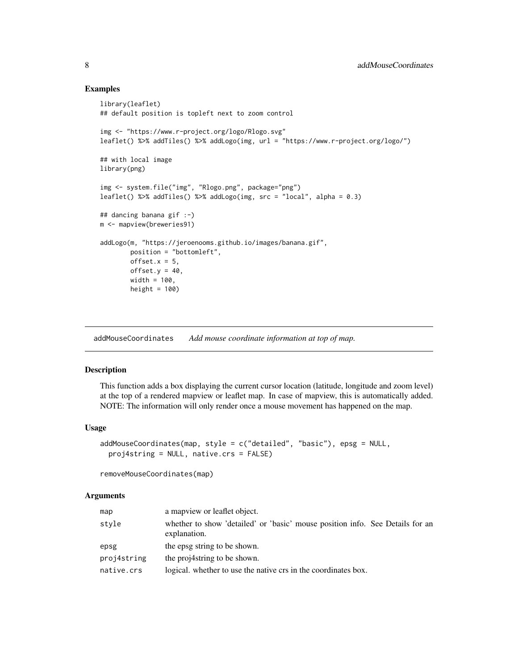#### Examples

```
library(leaflet)
## default position is topleft next to zoom control
img <- "https://www.r-project.org/logo/Rlogo.svg"
leaflet() %>% addTiles() %>% addLogo(img, url = "https://www.r-project.org/logo/")
## with local image
library(png)
img <- system.file("img", "Rlogo.png", package="png")
leaflet() %>% addTiles() %>% addLogo(img, src = "local", alpha = 0.3)
## dancing banana gif :-)
m <- mapview(breweries91)
addLogo(m, "https://jeroenooms.github.io/images/banana.gif",
       position = "bottomleft",
       offset.x = 5,
       offset.y = 40,width = 100,
       height = 100)
```
addMouseCoordinates *Add mouse coordinate information at top of map.*

#### Description

This function adds a box displaying the current cursor location (latitude, longitude and zoom level) at the top of a rendered mapview or leaflet map. In case of mapview, this is automatically added. NOTE: The information will only render once a mouse movement has happened on the map.

#### Usage

```
addMouseCoordinates(map, style = c("detailed", "basic"), epsg = NULL,
 proj4string = NULL, native.crs = FALSE)
```
removeMouseCoordinates(map)

| map         | a mapview or leaflet object.                                                                  |
|-------------|-----------------------------------------------------------------------------------------------|
| style       | whether to show 'detailed' or 'basic' mouse position info. See Details for an<br>explanation. |
| epsg        | the epsg string to be shown.                                                                  |
| proj4string | the proj4string to be shown.                                                                  |
| native.crs  | logical. whether to use the native crs in the coordinates box.                                |

<span id="page-7-0"></span>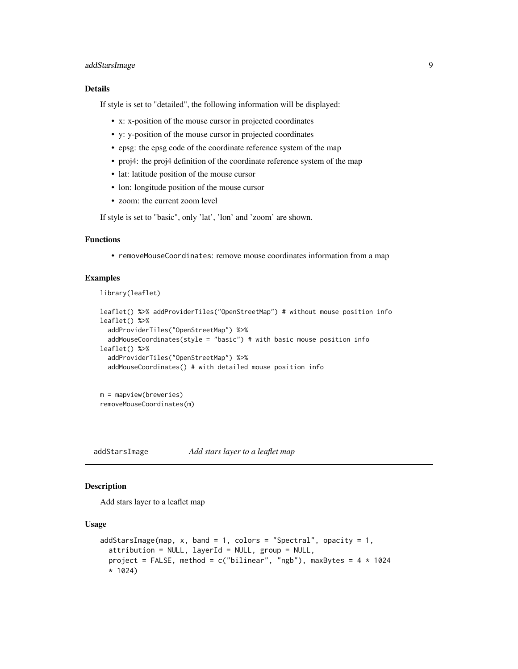## <span id="page-8-0"></span>addStarsImage 9

#### Details

If style is set to "detailed", the following information will be displayed:

- x: x-position of the mouse cursor in projected coordinates
- y: y-position of the mouse cursor in projected coordinates
- epsg: the epsg code of the coordinate reference system of the map
- proj4: the proj4 definition of the coordinate reference system of the map
- lat: latitude position of the mouse cursor
- lon: longitude position of the mouse cursor
- zoom: the current zoom level

If style is set to "basic", only 'lat', 'lon' and 'zoom' are shown.

## Functions

• removeMouseCoordinates: remove mouse coordinates information from a map

#### Examples

library(leaflet)

```
leaflet() %>% addProviderTiles("OpenStreetMap") # without mouse position info
leaflet() %>%
  addProviderTiles("OpenStreetMap") %>%
  addMouseCoordinates(style = "basic") # with basic mouse position info
leaflet() %>%
  addProviderTiles("OpenStreetMap") %>%
  addMouseCoordinates() # with detailed mouse position info
```
m = mapview(breweries) removeMouseCoordinates(m)

addStarsImage *Add stars layer to a leaflet map*

#### Description

Add stars layer to a leaflet map

### Usage

```
addStarsImage(map, x, band = 1, colors = "Spectral", opacity = 1,
  \alpha attribution = NULL, layerId = NULL, group = NULL,
  project = FALSE, method = c("bilinear", "ngb"), maxBytes = 4 \times 1024* 1024)
```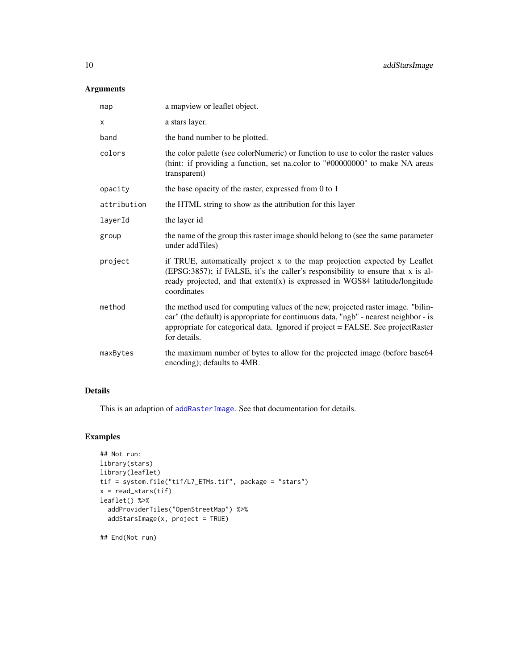## <span id="page-9-0"></span>Arguments

| map         | a mapview or leaflet object.                                                                                                                                                                                                                                                |
|-------------|-----------------------------------------------------------------------------------------------------------------------------------------------------------------------------------------------------------------------------------------------------------------------------|
| X           | a stars layer.                                                                                                                                                                                                                                                              |
| band        | the band number to be plotted.                                                                                                                                                                                                                                              |
| colors      | the color palette (see colorNumeric) or function to use to color the raster values<br>(hint: if providing a function, set na.color to "#00000000" to make NA areas<br>transparent)                                                                                          |
| opacity     | the base opacity of the raster, expressed from 0 to 1                                                                                                                                                                                                                       |
| attribution | the HTML string to show as the attribution for this layer                                                                                                                                                                                                                   |
| layerId     | the layer id                                                                                                                                                                                                                                                                |
| group       | the name of the group this raster image should belong to (see the same parameter<br>under addTiles)                                                                                                                                                                         |
| project     | if TRUE, automatically project x to the map projection expected by Leaflet<br>(EPSG:3857); if FALSE, it's the caller's responsibility to ensure that x is al-<br>ready projected, and that $extent(x)$ is expressed in WGS84 latitude/longitude<br>coordinates              |
| method      | the method used for computing values of the new, projected raster image. "bilin-<br>ear" (the default) is appropriate for continuous data, "ngb" - nearest neighbor - is<br>appropriate for categorical data. Ignored if project = FALSE. See projectRaster<br>for details. |
| maxBytes    | the maximum number of bytes to allow for the projected image (before base64<br>encoding); defaults to 4MB.                                                                                                                                                                  |

## Details

This is an adaption of [addRasterImage](#page-0-0). See that documentation for details.

## Examples

```
## Not run:
library(stars)
library(leaflet)
tif = system.file("tif/L7_ETMs.tif", package = "stars")
x = read\_stars(tif)leaflet() %>%
  addProviderTiles("OpenStreetMap") %>%
  addStarsImage(x, project = TRUE)
```
## End(Not run)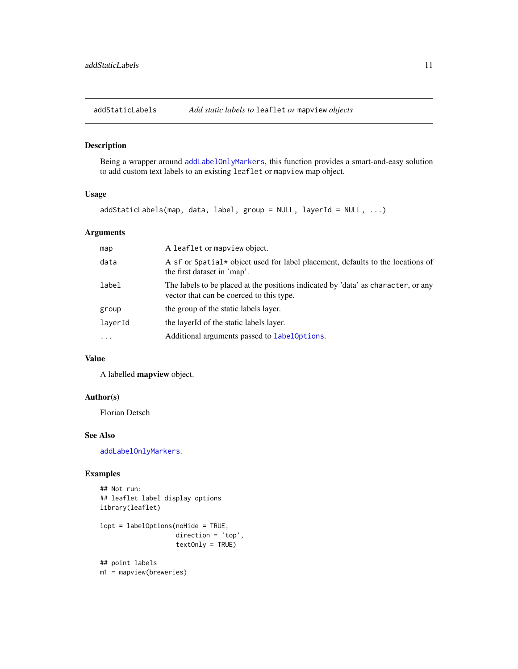<span id="page-10-0"></span>

## Description

Being a wrapper around [addLabelOnlyMarkers](#page-0-0), this function provides a smart-and-easy solution to add custom text labels to an existing leaflet or mapview map object.

## Usage

addStaticLabels(map, data, label, group = NULL, layerId = NULL, ...)

## Arguments

| map               | A leaflet or mapview object.                                                                                                  |
|-------------------|-------------------------------------------------------------------------------------------------------------------------------|
| data              | A sf or Spatial * object used for label placement, defaults to the locations of<br>the first dataset in 'map'.                |
| label             | The labels to be placed at the positions indicated by 'data' as character, or any<br>vector that can be coerced to this type. |
| group             | the group of the static labels layer.                                                                                         |
| laverId           | the layer Id of the static labels layer.                                                                                      |
| $\cdot\cdot\cdot$ | Additional arguments passed to label Options.                                                                                 |
|                   |                                                                                                                               |

## Value

A labelled mapview object.

#### Author(s)

Florian Detsch

#### See Also

[addLabelOnlyMarkers](#page-0-0).

## Examples

```
## Not run:
## leaflet label display options
library(leaflet)
```

```
lopt = labelOptions(noHide = TRUE,
                    direction = 'top',
                    textOnly = TRUE)
```

```
## point labels
m1 = mapview(breweries)
```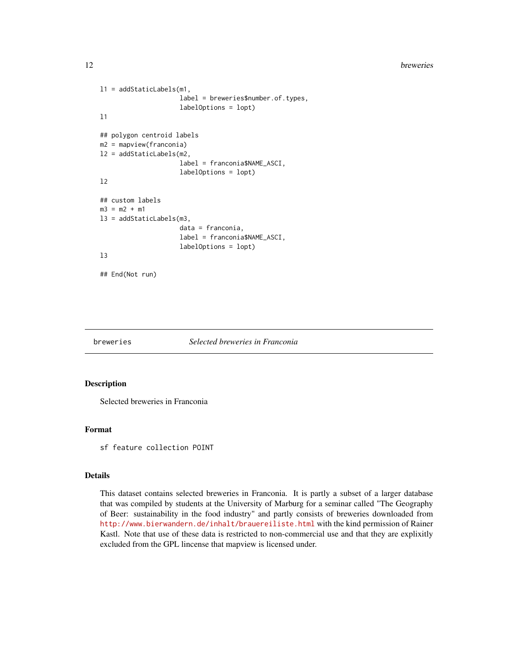#### <span id="page-11-0"></span>12 breweries **breweries**

```
l1 = addStaticLabels(m1,
                     label = breweries$number.of.types,
                     labelOptions = lopt)
l1
## polygon centroid labels
m2 = mapview(franconia)
l2 = addStaticLabels(m2,
                     label = franconia$NAME_ASCI,
                     labelOptions = lopt)
l2
## custom labels
m3 = m2 + m1l3 = addStaticLabels(m3,
                     data = franconia,
                     label = franconia$NAME_ASCI,
                     labelOptions = lopt)
l3
## End(Not run)
```
#### breweries *Selected breweries in Franconia*

#### Description

Selected breweries in Franconia

#### Format

sf feature collection POINT

#### Details

This dataset contains selected breweries in Franconia. It is partly a subset of a larger database that was compiled by students at the University of Marburg for a seminar called "The Geography of Beer: sustainability in the food industry" and partly consists of breweries downloaded from <http://www.bierwandern.de/inhalt/brauereiliste.html> with the kind permission of Rainer Kastl. Note that use of these data is restricted to non-commercial use and that they are explixitly excluded from the GPL lincense that mapview is licensed under.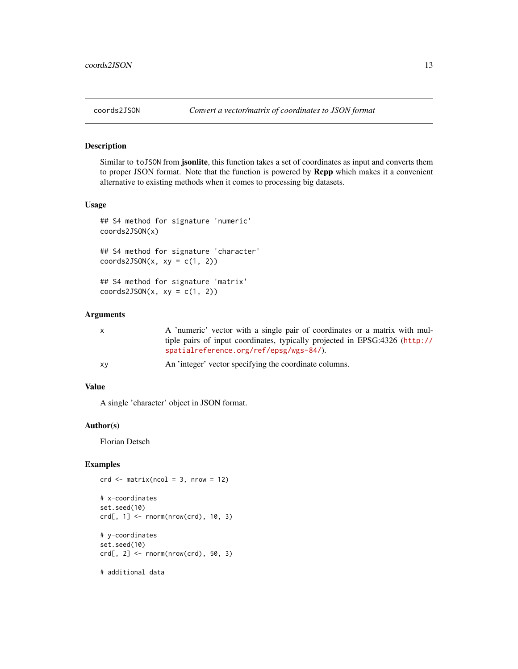<span id="page-12-0"></span>

#### Description

Similar to toJSON from jsonlite, this function takes a set of coordinates as input and converts them to proper JSON format. Note that the function is powered by **Rcpp** which makes it a convenient alternative to existing methods when it comes to processing big datasets.

## Usage

```
## S4 method for signature 'numeric'
coords2JSON(x)
```
## S4 method for signature 'character'  $coords2JSON(x, xy = c(1, 2))$ 

## S4 method for signature 'matrix'  $coords2JSON(x, xy = c(1, 2))$ 

#### Arguments

| X | A 'numeric' vector with a single pair of coordinates or a matrix with mul-                                  |
|---|-------------------------------------------------------------------------------------------------------------|
|   | tiple pairs of input coordinates, typically projected in EPSG:4326 (http://                                 |
|   | spatialreference.org/ref/epsg/wgs-84/).                                                                     |
|   | $\mathbf{r}$ , and $\mathbf{r}$ , and $\mathbf{r}$ , and $\mathbf{r}$ , and $\mathbf{r}$ , and $\mathbf{r}$ |

```
xy An 'integer' vector specifying the coordinate columns.
```
## Value

A single 'character' object in JSON format.

#### Author(s)

Florian Detsch

## Examples

```
crd \leq matrix(ncol = 3, nrow = 12)# x-coordinates
set.seed(10)
crd[, 1] < -rnorm(nrow(crd), 10, 3)# y-coordinates
set.seed(10)
crd[, 2] < -\nrnorm(nrow(crd), 50, 3)# additional data
```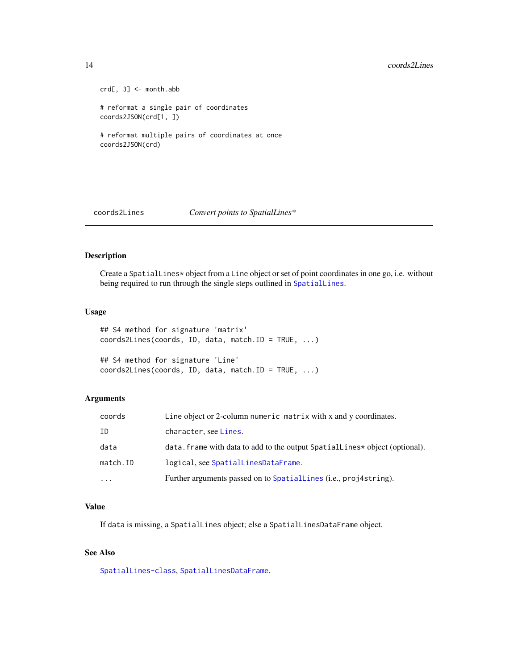#### <span id="page-13-0"></span>14 coords2Lines

```
crd[, 3] <- month.abb
# reformat a single pair of coordinates
coords2JSON(crd[1, ])
# reformat multiple pairs of coordinates at once
coords2JSON(crd)
```
coords2Lines *Convert points to SpatialLines\**

## Description

Create a SpatialLines\* object from a Line object or set of point coordinates in one go, i.e. without being required to run through the single steps outlined in [SpatialLines](#page-0-0).

## Usage

```
## S4 method for signature 'matrix'
coords2Lines(coords, ID, data, match.ID = TRUE, ...)
```

```
## S4 method for signature 'Line'
coords2Lines(coords, ID, data, match.ID = TRUE, ...)
```
#### Arguments

| coords    | Line object or 2-column numeric matrix with x and y coordinates.            |
|-----------|-----------------------------------------------------------------------------|
| ΙD        | character, see Lines.                                                       |
| data      | data. frame with data to add to the output SpatialLines* object (optional). |
| match.ID  | logical, see SpatialLinesDataFrame.                                         |
| $\ddotsc$ | Further arguments passed on to SpatialLines ( <i>i.e.</i> , proj4string).   |

## Value

If data is missing, a SpatialLines object; else a SpatialLinesDataFrame object.

## See Also

[SpatialLines-class](#page-0-0), [SpatialLinesDataFrame](#page-0-0).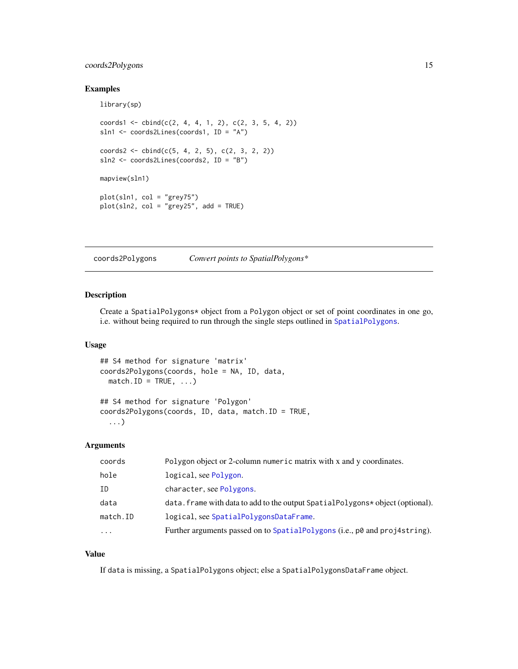## <span id="page-14-0"></span>coords2Polygons 15

## Examples

library(sp)

```
\text{coordinates1} \leftarrow \text{cbind}(c(2, 4, 4, 1, 2), c(2, 3, 5, 4, 2))sln1 <- coords2Lines(coords1, ID = "A")
coords2 \leq \text{cbind}(c(5, 4, 2, 5), c(2, 3, 2, 2))sln2 <- coords2Lines(coords2, ID = "B")
mapview(sln1)
plot(sln1, col = "grey75")
plot(sln2, col = "grey25", add = TRUE)
```
coords2Polygons *Convert points to SpatialPolygons\**

## Description

Create a SpatialPolygons\* object from a Polygon object or set of point coordinates in one go, i.e. without being required to run through the single steps outlined in [SpatialPolygons](#page-0-0).

#### Usage

```
## S4 method for signature 'matrix'
coords2Polygons(coords, hole = NA, ID, data,
 match.ID = TRUE, ...)
```

```
## S4 method for signature 'Polygon'
coords2Polygons(coords, ID, data, match.ID = TRUE,
  ...)
```
## Arguments

| Polygon object or 2-column numeric matrix with x and y coordinates.             |
|---------------------------------------------------------------------------------|
| logical, see Polygon.                                                           |
| character, see Polygons.                                                        |
| data. frame with data to add to the output Spatial Polygons* object (optional). |
| logical, see SpatialPolygonsDataFrame.                                          |
| Further arguments passed on to SpatialPolygons (i.e., p0 and proj4string).      |
|                                                                                 |

## Value

If data is missing, a SpatialPolygons object; else a SpatialPolygonsDataFrame object.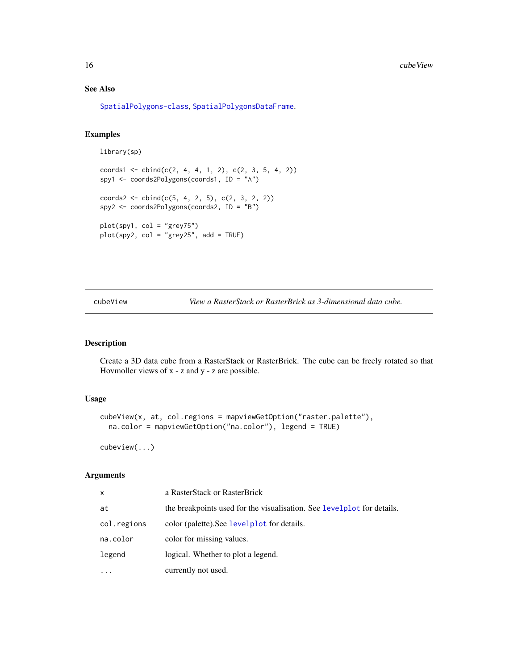## See Also

[SpatialPolygons-class](#page-0-0), [SpatialPolygonsDataFrame](#page-0-0).

## Examples

```
library(sp)
```

```
coords1 \leq -cbind(c(2, 4, 4, 1, 2), c(2, 3, 5, 4, 2))spy1 <- coords2Polygons(coords1, ID = "A")
coords2 <- cbind(c(5, 4, 2, 5), c(2, 3, 2, 2))
spy2 <- coords2Polygons(coords2, ID = "B")
plot(spy1, col = "grey75")
plot(spy2, col = "grey25", add = TRUE)
```
cubeView *View a RasterStack or RasterBrick as 3-dimensional data cube.*

## Description

Create a 3D data cube from a RasterStack or RasterBrick. The cube can be freely rotated so that Hovmoller views of x - z and y - z are possible.

### Usage

```
cubeView(x, at, col.regions = mapviewGetOption("raster.palette"),
  na.color = mapviewGetOption("na.color"), legend = TRUE)
```
cubeview(...)

| x           | a RasterStack or RasterBrick                                           |
|-------------|------------------------------------------------------------------------|
| at          | the breakpoints used for the visualisation. See levelplot for details. |
| col.regions | color (palette). See levelplot for details.                            |
| na.color    | color for missing values.                                              |
| legend      | logical. Whether to plot a legend.                                     |
| .           | currently not used.                                                    |

<span id="page-15-0"></span>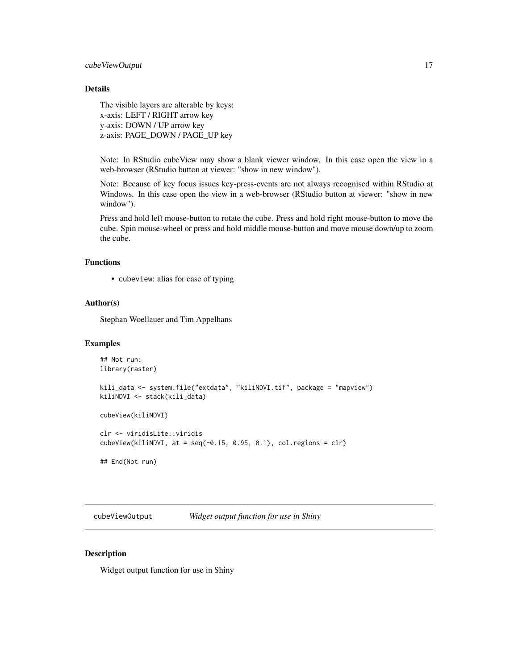## <span id="page-16-0"></span>Details

The visible layers are alterable by keys: x-axis: LEFT / RIGHT arrow key y-axis: DOWN / UP arrow key z-axis: PAGE\_DOWN / PAGE\_UP key

Note: In RStudio cubeView may show a blank viewer window. In this case open the view in a web-browser (RStudio button at viewer: "show in new window").

Note: Because of key focus issues key-press-events are not always recognised within RStudio at Windows. In this case open the view in a web-browser (RStudio button at viewer: "show in new window").

Press and hold left mouse-button to rotate the cube. Press and hold right mouse-button to move the cube. Spin mouse-wheel or press and hold middle mouse-button and move mouse down/up to zoom the cube.

#### Functions

• cubeview: alias for ease of typing

#### Author(s)

Stephan Woellauer and Tim Appelhans

## Examples

```
## Not run:
library(raster)
kili_data <- system.file("extdata", "kiliNDVI.tif", package = "mapview")
kiliNDVI <- stack(kili_data)
cubeView(kiliNDVI)
clr <- viridisLite::viridis
cubeView(kiliNDVI, at = seq(-0.15, 0.95, 0.1), col. regions = clr)## End(Not run)
```
cubeViewOutput *Widget output function for use in Shiny*

## Description

Widget output function for use in Shiny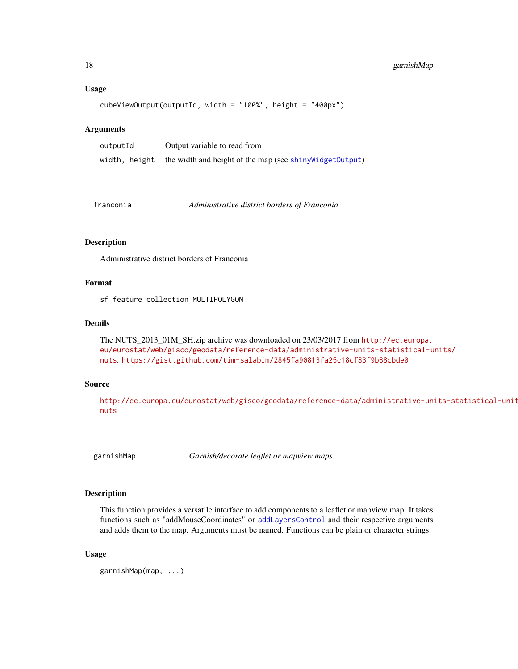#### Usage

```
cubeViewOutput(outputId, width = "100%", height = "400px")
```
#### Arguments

outputId Output variable to read from width, height the width and height of the map (see [shinyWidgetOutput](#page-0-0))

franconia *Administrative district borders of Franconia*

## Description

Administrative district borders of Franconia

## Format

sf feature collection MULTIPOLYGON

#### Details

The NUTS\_2013\_01M\_SH.zip archive was downloaded on 23/03/2017 from [http://ec.europa.](http://ec.europa.eu/eurostat/web/gisco/geodata/reference-data/administrative-units-statistical-units/nuts) [eu/eurostat/web/gisco/geodata/reference-data/administrative-units-statistical-u](http://ec.europa.eu/eurostat/web/gisco/geodata/reference-data/administrative-units-statistical-units/nuts)nits/ [nuts](http://ec.europa.eu/eurostat/web/gisco/geodata/reference-data/administrative-units-statistical-units/nuts). <https://gist.github.com/tim-salabim/2845fa90813fa25c18cf83f9b88cbde0>

#### Source

[http://ec.europa.eu/eurostat/web/gisco/geodata/reference-data/administrative-uni](http://ec.europa.eu/eurostat/web/gisco/geodata/reference-data/administrative-units-statistical-units/nuts)ts-statistical-units/ [nuts](http://ec.europa.eu/eurostat/web/gisco/geodata/reference-data/administrative-units-statistical-units/nuts)

garnishMap *Garnish/decorate leaflet or mapview maps.*

#### Description

This function provides a versatile interface to add components to a leaflet or mapview map. It takes functions such as "addMouseCoordinates" or [addLayersControl](#page-0-0) and their respective arguments and adds them to the map. Arguments must be named. Functions can be plain or character strings.

#### Usage

garnishMap(map, ...)

<span id="page-17-0"></span>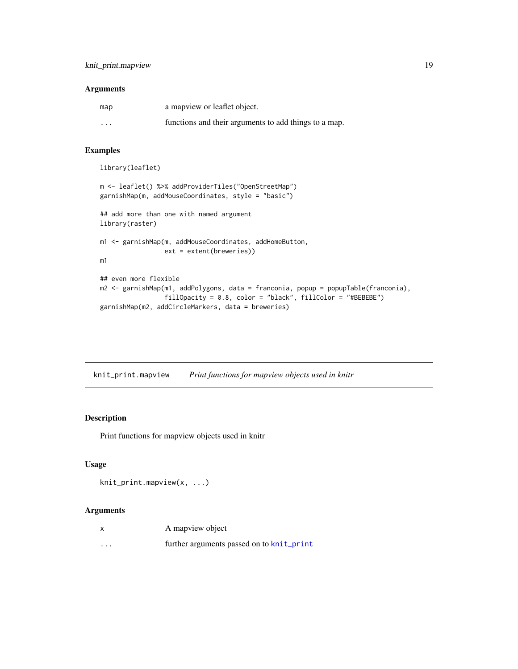## <span id="page-18-0"></span>Arguments

| map     | a mapview or leaflet object.                          |
|---------|-------------------------------------------------------|
| $\cdot$ | functions and their arguments to add things to a map. |

## Examples

```
library(leaflet)
```

```
m <- leaflet() %>% addProviderTiles("OpenStreetMap")
garnishMap(m, addMouseCoordinates, style = "basic")
## add more than one with named argument
library(raster)
m1 <- garnishMap(m, addMouseCoordinates, addHomeButton,
                 ext = extent(breweries))
m1
## even more flexible
m2 <- garnishMap(m1, addPolygons, data = franconia, popup = popupTable(franconia),
                 fillOpacity = 0.8, color = "black", fillColor = "#BEBEBE")
garnishMap(m2, addCircleMarkers, data = breweries)
```
knit\_print.mapview *Print functions for mapview objects used in knitr*

## Description

Print functions for mapview objects used in knitr

## Usage

```
knit_print.mapview(x, ...)
```

|          | A mapview object                          |
|----------|-------------------------------------------|
| $\cdots$ | further arguments passed on to knit_print |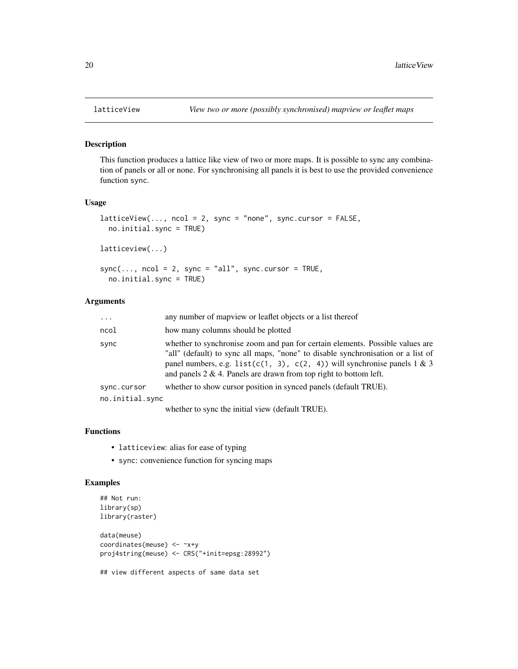#### Description

This function produces a lattice like view of two or more maps. It is possible to sync any combination of panels or all or none. For synchronising all panels it is best to use the provided convenience function sync.

#### Usage

```
latticeView(..., ncol = 2, sync = "none", sync.cursor = FALSE,no.initial.sync = TRUE)
```
latticeview(...)

```
sync(..., ncol = 2, sync = "all", sync.curson = TRUE,no.initial.sync = TRUE)
```
## Arguments

| $\cdots$                       | any number of map view or leaflet objects or a list thereof                                                                                                                                                                                                                                                                   |
|--------------------------------|-------------------------------------------------------------------------------------------------------------------------------------------------------------------------------------------------------------------------------------------------------------------------------------------------------------------------------|
| ncol                           | how many columns should be plotted                                                                                                                                                                                                                                                                                            |
| sync                           | whether to synchronise zoom and pan for certain elements. Possible values are<br>"all" (default) to sync all maps, "none" to disable synchronisation or a list of<br>panel numbers, e.g. list( $c(1, 3)$ , $c(2, 4)$ ) will synchronise panels 1 & 3<br>and panels $2 \& 4$ . Panels are drawn from top right to bottom left. |
| sync.cursor<br>no.initial.sync | whether to show cursor position in synced panels (default TRUE).                                                                                                                                                                                                                                                              |
|                                | $1 \quad 1 \quad 2 \quad 3 \quad 4 \quad 5 \quad 5 \quad 1 \quad 6 \quad 1.0011175$                                                                                                                                                                                                                                           |

whether to sync the initial view (default TRUE).

## Functions

- latticeview: alias for ease of typing
- sync: convenience function for syncing maps

## Examples

```
## Not run:
library(sp)
library(raster)
data(meuse)
coordinates(meuse) <- ~x+y
proj4string(meuse) <- CRS("+init=epsg:28992")
## view different aspects of same data set
```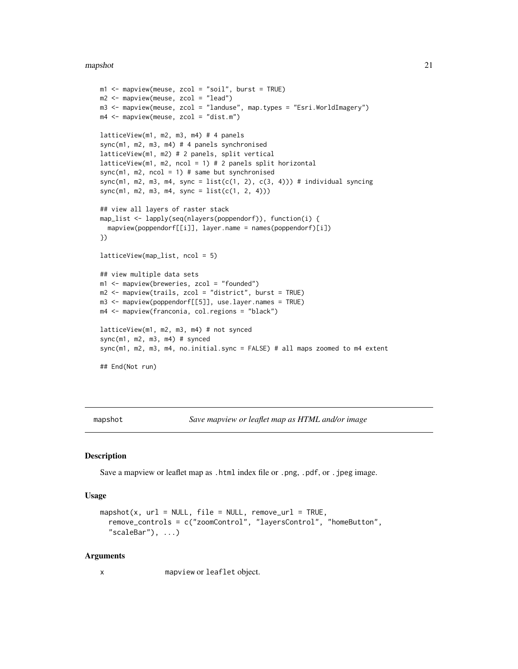#### <span id="page-20-0"></span>mapshot 21

```
m1 <- mapview(meuse, zcol = "soil", burst = TRUE)
m2 <- mapview(meuse, zcol = "lead")
m3 <- mapview(meuse, zcol = "landuse", map.types = "Esri.WorldImagery")
m4 <- mapview(meuse, zcol = "dist.m")
latticeView(m1, m2, m3, m4) # 4 panels
sync(m1, m2, m3, m4) # 4 panels synchronised
latticeView(m1, m2) # 2 panels, split vertical
latticeView(m1, m2, ncol = 1) # 2 panels split horizontal
sync(m1, m2, ncol = 1) # same but synchronised
sync(m1, m2, m3, m4, sync = list(c(1, 2), c(3, 4))) # individual syncing
sync(m1, m2, m3, m4, sync = list(c(1, 2, 4)))
## view all layers of raster stack
map_list <- lapply(seq(nlayers(poppendorf)), function(i) {
  mapview(poppendorf[[i]], layer.name = names(poppendorf)[i])
})
latticeView(map_list, ncol = 5)
## view multiple data sets
m1 <- mapview(breweries, zcol = "founded")
m2 <- mapview(trails, zcol = "district", burst = TRUE)
m3 <- mapview(poppendorf[[5]], use.layer.names = TRUE)
m4 <- mapview(franconia, col.regions = "black")
latticeView(m1, m2, m3, m4) # not synced
sync(m1, m2, m3, m4) # synced
sync(m1, m2, m3, m4, no.initial.sync = FALSE) # all maps zoomed to m4 extent
## End(Not run)
```
mapshot *Save mapview or leaflet map as HTML and/or image*

#### Description

Save a mapview or leaflet map as .html index file or .png, .pdf, or .jpeg image.

#### Usage

```
mapshot(x, url = NULL, file = NULL, remove_url = TRUE,
 remove_controls = c("zoomControl", "layersControl", "homeButton",
  "scaleBar"), ...)
```
#### Arguments

x mapview or leaflet object.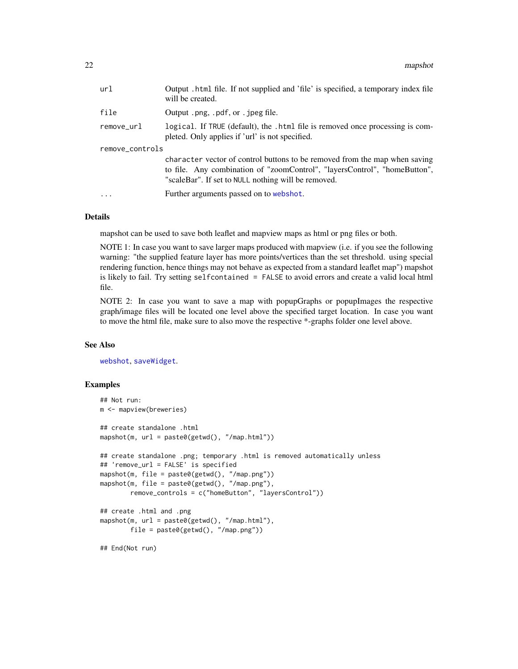<span id="page-21-0"></span>

| url             | Output .html file. If not supplied and 'file' is specified, a temporary index file<br>will be created.                                                                                                         |  |
|-----------------|----------------------------------------------------------------------------------------------------------------------------------------------------------------------------------------------------------------|--|
| file            | Output .png, .pdf, or . jpeg file.                                                                                                                                                                             |  |
| remove_url      | logical. If TRUE (default), the .html file is removed once processing is com-<br>pleted. Only applies if 'url' is not specified.                                                                               |  |
| remove_controls |                                                                                                                                                                                                                |  |
|                 | character vector of control buttons to be removed from the map when saving<br>to file. Any combination of "zoomControl", "layersControl", "homeButton",<br>"scaleBar". If set to NULL nothing will be removed. |  |
| $\ddotsc$       | Further arguments passed on to webshot.                                                                                                                                                                        |  |

#### Details

mapshot can be used to save both leaflet and mapview maps as html or png files or both.

NOTE 1: In case you want to save larger maps produced with mapview (i.e. if you see the following warning: "the supplied feature layer has more points/vertices than the set threshold. using special rendering function, hence things may not behave as expected from a standard leaflet map") mapshot is likely to fail. Try setting selfcontained = FALSE to avoid errors and create a valid local html file.

NOTE 2: In case you want to save a map with popupGraphs or popupImages the respective graph/image files will be located one level above the specified target location. In case you want to move the html file, make sure to also move the respective \*-graphs folder one level above.

## See Also

[webshot](#page-0-0), [saveWidget](#page-0-0).

#### Examples

```
## Not run:
m <- mapview(breweries)
## create standalone .html
mapshot(m, url = paste0(getwd(), "/map.html"))
## create standalone .png; temporary .html is removed automatically unless
## 'remove_url = FALSE' is specified
mapshot(m, file = paste0(getwd(), "/map.png"))
mapshot(m, file = paste0(getwd(), "/map.png"),
        remove_controls = c("homeButton", "layersControl"))
## create .html and .png
mapshot(m, url = paste0(getwd(), "/map.html"),
        file = paste0(getwd(), "/map.png"))
```

```
## End(Not run)
```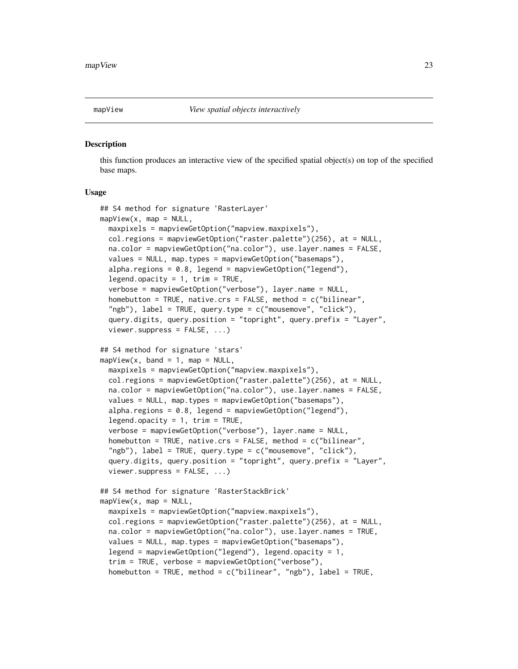<span id="page-22-2"></span><span id="page-22-0"></span>

#### <span id="page-22-1"></span>Description

this function produces an interactive view of the specified spatial object(s) on top of the specified base maps.

#### Usage

```
## S4 method for signature 'RasterLayer'
mapView(x, map = NULL,maxpixels = mapviewGetOption("mapview.maxpixels"),
 col.regions = mapviewGetOption("raster.palette")(256), at = NULL,
 na.color = mapviewGetOption("na.color"), use.layer.names = FALSE,
 values = NULL, map.types = mapviewGetOption("basemaps"),
 alpha.regions = 0.8, legend = mapviewGetOption("legend"),
 legend.opacity = 1, trim = TRUE,
 verbose = mapviewGetOption("verbose"), layer.name = NULL,
 homebutton = TRUE, native.crs = FALSE, method = c("bilinear",
 "ngb"), label = TRUE, query.type = c("mousemove", "click"),query.digits, query.position = "topright", query.prefix = "Layer",
 viewer.suppress = FALSE, ...)
## S4 method for signature 'stars'
mapView(x, band = 1, map = NULL,maxpixels = mapviewGetOption("mapview.maxpixels"),
 col.regions = mapviewGetOption("raster.palette")(256), at = NULL,
 na.color = mapviewGetOption("na.color"), use.layer.names = FALSE,
 values = NULL, map.types = mapviewGetOption("basemaps"),
 alpha.regions = 0.8, legend = mapviewGetOption("legend"),
 legend.opacity = 1, trim = TRUE,
 verbose = mapviewGetOption("verbose"), layer.name = NULL,
 homebutton = TRUE, native.crs = FALSE, method = c("bilinear",
 "ngb"), label = TRUE, query.type = c("mousemove", "click"),query.digits, query.position = "topright", query.prefix = "Layer",
 viewer.suppress = FALSE, ...)## S4 method for signature 'RasterStackBrick'
mapView(x, map = NULL,maxpixels = mapviewGetOption("mapview.maxpixels"),
 col.regions = mapviewGetOption("raster.palette")(256), at = NULL,
 na.color = mapviewGetOption("na.color"), use.layer.names = TRUE,
 values = NULL, map.types = mapviewGetOption("basemaps"),
 legend = mapviewGetOption("legend"), legend.opacity = 1,
 trim = TRUE, verbose = mapviewGetOption("verbose"),
 homebutton = TRUE, method = c("bilinear", "ngb"), label = TRUE,
```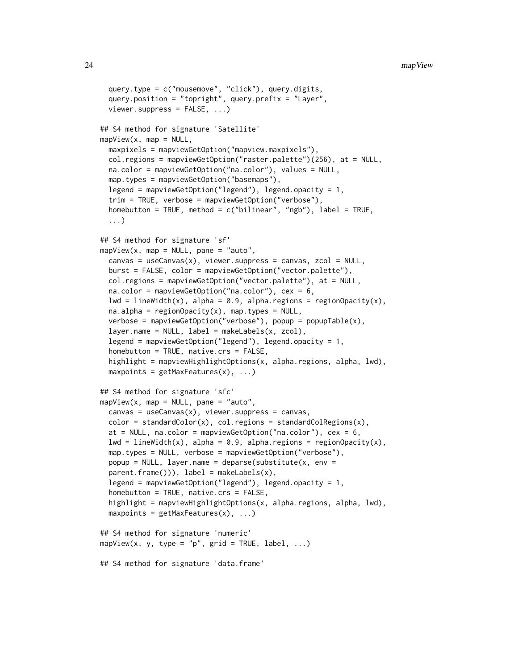```
query.type = c("mousemove", "click"), query.digits,
  query.position = "topright", query.prefix = "Layer",
  viewer.suppress = FALSE, ...## S4 method for signature 'Satellite'
mapView(x, map = NULL,maxpixels = mapviewGetOption("mapview.maxpixels"),
  col.regions = mapviewGetOption("raster.palette")(256), at = NULL,
  na.color = mapviewGetOption("na.color"), values = NULL,
 map.types = mapviewGetOption("basemaps"),
  legend = mapviewGetOption("legend"), legend.opacity = 1,
  trim = TRUE, verbose = mapviewGetOption("verbose"),
  homebutton = TRUE, method = c("bilinear", "ngb"), label = TRUE,...)
## S4 method for signature 'sf'
mapView(x, map = NULL, pane = "auto",canvas = useCanvas(x), viewer.suppress = canvas, zcol = NULL,
 burst = FALSE, color = mapviewGetOption("vector.palette"),
  col.regions = mapviewGetOption("vector.palette"), at = NULL,
  na.color = mapviewGetOption("na.color"), cex = 6,
  lwd = lineWidth(x), alpha = 0.9, alpha.regions = regionOpacity(x),
  na.alpha = regionOpacity(x), map.types = NULL,verbose = mapviewGetOption("verbose"), popup = popupTable(x),
  layer.name = NULL, label = makeLabels(x, zcol),legend = mapviewGetOption("legend"), legend.opacity = 1,
  homebutton = TRUE, native.crs = FALSE,
  highlight = mapviewHighlightOptions(x, alpha.regions, alpha, lwd),
  maxpoints = getMaxFeatures(x), ...)## S4 method for signature 'sfc'
mapView(x, map = NULL, pane = "auto",canvas = useCanvas(x), viewer.suppress = canvas,
  color = standardColor(x), col. regions = standardColRegions(x),at = NULL, na.color = mapviewGetOption("na.color"), cex = 6,
  lwd = lineWidth(x), alpha = 0.9, alpha.regions = regionOpacity(x),
  map.types = NULL, verbose = mapviewGetOption("verbose"),
 popup = NULL, layer.name = deparse(substitute(x, env =
  parent.findm(())), label = makeLabels(x),
  legend = mapviewGetOption("legend"), legend.opacity = 1,
  homebutton = TRUE, native.crs = FALSE,
  highlight = mapviewHighlightOptions(x, alpha.regions, alpha, lwd),
 maxpoints = getMaxFeatures(x), ...)## S4 method for signature 'numeric'
mapView(x, y, type = "p", grid = TRUE, label, \ldots)
## S4 method for signature 'data.frame'
```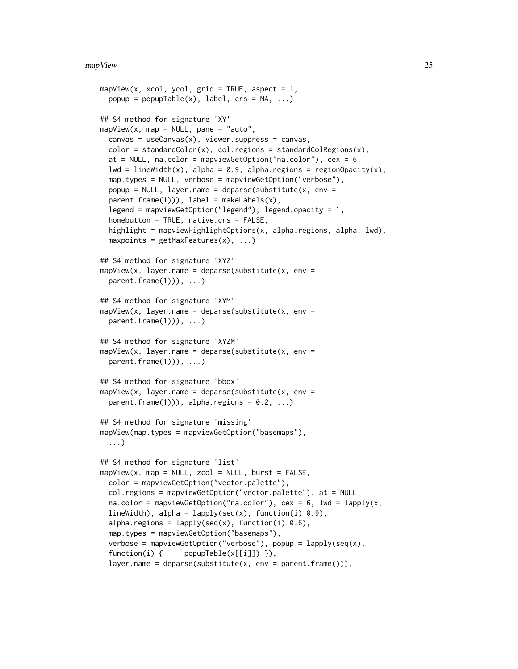```
mapView(x, xcol, ycol, grid = TRUE, aspect = 1,popup = popupTable(x), label, crs = NA, ...)## S4 method for signature 'XY'
mapView(x, map = NULL, pane = "auto",canvas = useCanvas(x), viewer.suppress = canvas,
  color = standardColor(x), col. regions = standardColRegions(x),at = NULL, na.color = mapviewGetOption("na.color"), cex = 6,
  lwd = lineWidth(x), alpha = 0.9, alpha.regions = regionOpacity(x),
 map.types = NULL, verbose = mapviewGetOption("verbose"),
 popup = NULL, layer.name = deparse(substitute(x, env =
 parent.findme(1)), label = makeLabels(x),
  legend = mapviewGetOption("legend"), legend.opacity = 1,
  homebutton = TRUE, native.cs = FALSE,highlight = mapviewHighlightOptions(x, alpha.regions, alpha, lwd),
  maxpoints = getMaxFeatures(x), ...)## S4 method for signature 'XYZ'
mapView(x, layer.name = deparse(substitute(x, env =parent.frame(1)), \dots)
## S4 method for signature 'XYM'
mapView(x, layer.name = deparse(substitute(x, env =parent.frame(1))), \ldots)
## S4 method for signature 'XYZM'
mapView(x, layer.name = deparse(substitute(x, env =parent.frame(1))), ...)
## S4 method for signature 'bbox'
mapView(x, layer.name = deparse(substitute(x, env =
 parent.frame(1))), alpha.regions = 0.2, ...)
## S4 method for signature 'missing'
mapView(map.types = mapviewGetOption("basemaps"),
  ...)
## S4 method for signature 'list'
mapView(x, map = NULL, zcol = NULL, burst = FALSE,color = mapviewGetOption("vector.palette"),
  col.regions = mapviewGetOption("vector.palette"), at = NULL,
  na.color = mapviewGetOption("na.color"), cex = 6, lwd = lapply(x,
  lineWidth), alpha = lapply(seq(x), function(i) 0.9),
  alpha.regions = lapply(seq(x), function(i) 0.6),
 map.types = mapviewGetOption("basemaps"),
  verbose = mapviewGetOption("verbose"), popup = lapply(seq(x),
  function(i) { popupTable(x[[i]]) }),
  layer.name = deparse(substitute(x, env = parent.frame())),
```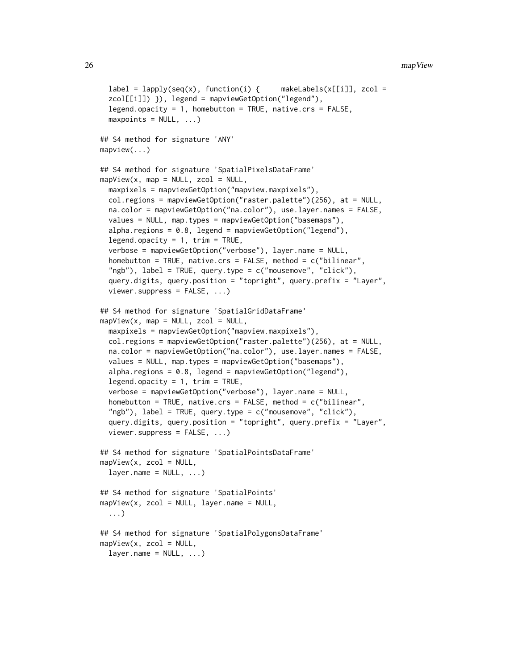```
label = laplycseq(x), function(i) {\{ makeLabels(x[[i]], zcol =
  zcol[[i]]) }), legend = mapviewGetOption("legend"),
  legend.opace: 1, homebutton = TRUE, native. crs = FALSE,maxpoints = NULL, ...)## S4 method for signature 'ANY'
mapview(...)
## S4 method for signature 'SpatialPixelsDataFrame'
mapView(x, map = NULL, zcol = NULL,maxpixels = mapviewGetOption("mapview.maxpixels"),
 col.regions = mapviewGetOption("raster.palette")(256), at = NULL,
 na.color = mapviewGetOption("na.color"), use.layer.names = FALSE,
  values = NULL, map.types = mapviewGetOption("basemaps"),
  alpha.regions = 0.8, legend = mapviewGetOption("legend"),
  legend.opacity = 1, trim = TRUE,
  verbose = mapviewGetOption("verbose"), layer.name = NULL,
  homebutton = TRUE, native.crs = FALSE, method = c("bilinear","ngb"), label = TRUE, query.type = c("mousemove", "click"),
  query.digits, query.position = "topright", query.prefix = "Layer",
  viewer.suppress = FALSE, ...## S4 method for signature 'SpatialGridDataFrame'
mapView(x, map = NULL, zcol = NULL,maxpixels = mapviewGetOption("mapview.maxpixels"),
 col.regions = mapviewGetOption("raster.palette")(256), at = NULL,
  na.color = mapviewGetOption("na.color"), use.layer.names = FALSE,
  values = NULL, map.types = mapviewGetOption("basemaps"),
  alpha.regions = 0.8, legend = mapviewGetOption("legend"),
  legend.opacity = 1, trim = TRUE,
  verbose = mapviewGetOption("verbose"), layer.name = NULL,
  homebutton = TRUE, native.crs = FALSE, method = c("bilinear",
  "ngb"), label = TRUE, query.type = c("mousemove", "click"),query.digits, query.position = "topright", query.prefix = "Layer",
  viewer.suppress = FALSE, ...)## S4 method for signature 'SpatialPointsDataFrame'
mapView(x, zcol = NULL,layer.name = NULL, ...)## S4 method for signature 'SpatialPoints'
mapView(x, zcol = NULL, layer.name = NULL,...)
## S4 method for signature 'SpatialPolygonsDataFrame'
mapView(x, zcol = NULL,
```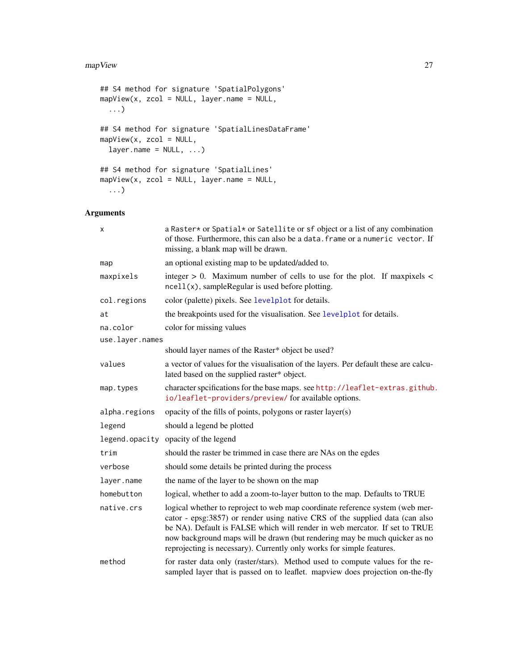#### <span id="page-26-0"></span>mapView 27

```
## S4 method for signature 'SpatialPolygons'
mapView(x, zcol = NULL, layer.name = NULL,
 ...)
## S4 method for signature 'SpatialLinesDataFrame'
mapView(x, zcol = NULL,
 layer.name = NULL, ...)## S4 method for signature 'SpatialLines'
mapView(x, zcol = NULL, layer.name = NULL,...)
```

| x               | a Raster* or Spatial* or Satellite or sf object or a list of any combination<br>of those. Furthermore, this can also be a data. frame or a numeric vector. If<br>missing, a blank map will be drawn.                                                                                                                                                                                               |
|-----------------|----------------------------------------------------------------------------------------------------------------------------------------------------------------------------------------------------------------------------------------------------------------------------------------------------------------------------------------------------------------------------------------------------|
| map             | an optional existing map to be updated/added to.                                                                                                                                                                                                                                                                                                                                                   |
| maxpixels       | integer $> 0$ . Maximum number of cells to use for the plot. If maxpixels $<$<br>$ne$ l $(x)$ , sampleRegular is used before plotting.                                                                                                                                                                                                                                                             |
| col.regions     | color (palette) pixels. See levelplot for details.                                                                                                                                                                                                                                                                                                                                                 |
| at              | the breakpoints used for the visualisation. See levelplot for details.                                                                                                                                                                                                                                                                                                                             |
| na.color        | color for missing values                                                                                                                                                                                                                                                                                                                                                                           |
| use.layer.names |                                                                                                                                                                                                                                                                                                                                                                                                    |
|                 | should layer names of the Raster* object be used?                                                                                                                                                                                                                                                                                                                                                  |
| values          | a vector of values for the visualisation of the layers. Per default these are calcu-<br>lated based on the supplied raster* object.                                                                                                                                                                                                                                                                |
| map.types       | character spcifications for the base maps. see http://leaflet-extras.github.<br>io/leaflet-providers/preview/ for available options.                                                                                                                                                                                                                                                               |
| alpha.regions   | opacity of the fills of points, polygons or raster layer(s)                                                                                                                                                                                                                                                                                                                                        |
| legend          | should a legend be plotted                                                                                                                                                                                                                                                                                                                                                                         |
|                 | legend. opacity opacity of the legend                                                                                                                                                                                                                                                                                                                                                              |
| trim            | should the raster be trimmed in case there are NAs on the egdes                                                                                                                                                                                                                                                                                                                                    |
| verbose         | should some details be printed during the process                                                                                                                                                                                                                                                                                                                                                  |
| layer.name      | the name of the layer to be shown on the map                                                                                                                                                                                                                                                                                                                                                       |
| homebutton      | logical, whether to add a zoom-to-layer button to the map. Defaults to TRUE                                                                                                                                                                                                                                                                                                                        |
| native.crs      | logical whether to reproject to web map coordinate reference system (web mer-<br>cator - epsg:3857) or render using native CRS of the supplied data (can also<br>be NA). Default is FALSE which will render in web mercator. If set to TRUE<br>now background maps will be drawn (but rendering may be much quicker as no<br>reprojecting is necessary). Currently only works for simple features. |
| method          | for raster data only (raster/stars). Method used to compute values for the re-<br>sampled layer that is passed on to leaflet. mapview does projection on-the-fly                                                                                                                                                                                                                                   |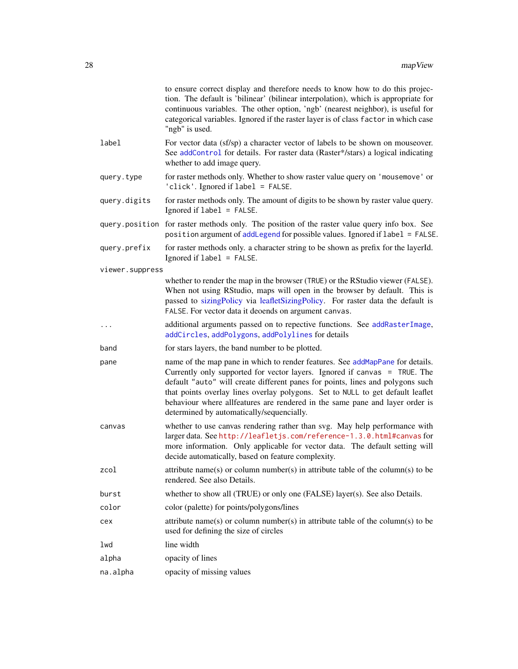<span id="page-27-0"></span>

|                 | to ensure correct display and therefore needs to know how to do this projec-<br>tion. The default is 'bilinear' (bilinear interpolation), which is appropriate for<br>continuous variables. The other option, 'ngb' (nearest neighbor), is useful for<br>categorical variables. Ignored if the raster layer is of class factor in which case<br>"ngb" is used.                                                                                              |
|-----------------|-------------------------------------------------------------------------------------------------------------------------------------------------------------------------------------------------------------------------------------------------------------------------------------------------------------------------------------------------------------------------------------------------------------------------------------------------------------|
| label           | For vector data (sf/sp) a character vector of labels to be shown on mouseover.<br>See addControl for details. For raster data (Raster*/stars) a logical indicating<br>whether to add image query.                                                                                                                                                                                                                                                           |
| query.type      | for raster methods only. Whether to show raster value query on 'mousemove' or<br>'click'. Ignored if label = FALSE.                                                                                                                                                                                                                                                                                                                                         |
| query.digits    | for raster methods only. The amount of digits to be shown by raster value query.<br>Ignored if label = FALSE.                                                                                                                                                                                                                                                                                                                                               |
|                 | query.position for raster methods only. The position of the raster value query info box. See<br>position argument of addLegend for possible values. Ignored if label = FALSE.                                                                                                                                                                                                                                                                               |
| query.prefix    | for raster methods only. a character string to be shown as prefix for the layerId.<br>Ignored if label = FALSE.                                                                                                                                                                                                                                                                                                                                             |
| viewer.suppress |                                                                                                                                                                                                                                                                                                                                                                                                                                                             |
|                 | whether to render the map in the browser (TRUE) or the RStudio viewer (FALSE).<br>When not using RStudio, maps will open in the browser by default. This is<br>passed to sizingPolicy via leafletSizingPolicy. For raster data the default is<br>FALSE. For vector data it deoends on argument canvas.                                                                                                                                                      |
| .               | additional arguments passed on to repective functions. See addRasterImage,<br>addCircles, addPolygons, addPolylines for details                                                                                                                                                                                                                                                                                                                             |
| band            | for stars layers, the band number to be plotted.                                                                                                                                                                                                                                                                                                                                                                                                            |
| pane            | name of the map pane in which to render features. See addMapPane for details.<br>Currently only supported for vector layers. Ignored if canvas = TRUE. The<br>default "auto" will create different panes for points, lines and polygons such<br>that points overlay lines overlay polygons. Set to NULL to get default leaflet<br>behaviour where allfeatures are rendered in the same pane and layer order is<br>determined by automatically/sequencially. |
| canvas          | whether to use canvas rendering rather than svg. May help performance with<br>larger data. See http://leafletjs.com/reference-1.3.0.html#canvas for<br>more information. Only applicable for vector data. The default setting will<br>decide automatically, based on feature complexity.                                                                                                                                                                    |
| zcol            | attribute name(s) or column number(s) in attribute table of the column(s) to be<br>rendered. See also Details.                                                                                                                                                                                                                                                                                                                                              |
| burst           | whether to show all (TRUE) or only one (FALSE) layer(s). See also Details.                                                                                                                                                                                                                                                                                                                                                                                  |
| color           | color (palette) for points/polygons/lines                                                                                                                                                                                                                                                                                                                                                                                                                   |
| cex             | attribute name(s) or column number(s) in attribute table of the column(s) to be<br>used for defining the size of circles                                                                                                                                                                                                                                                                                                                                    |
| lwd             | line width                                                                                                                                                                                                                                                                                                                                                                                                                                                  |
| alpha           | opacity of lines                                                                                                                                                                                                                                                                                                                                                                                                                                            |
| na.alpha        | opacity of missing values                                                                                                                                                                                                                                                                                                                                                                                                                                   |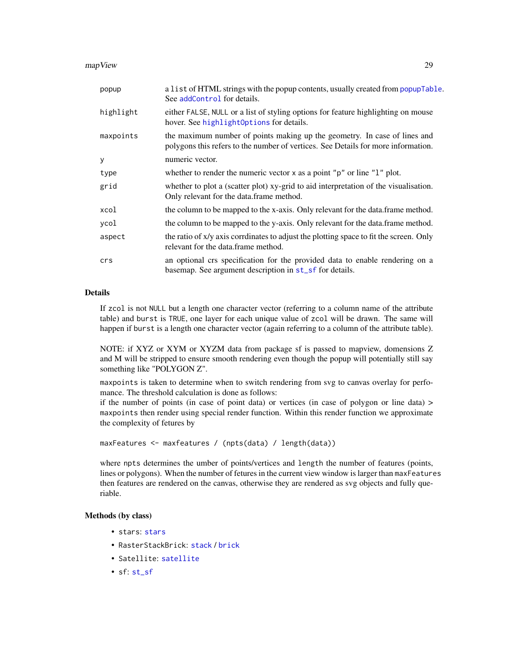<span id="page-28-0"></span>mapView 29

| popup     | a list of HTML strings with the popup contents, usually created from popupTable.<br>See addControl for details.                                                |
|-----------|----------------------------------------------------------------------------------------------------------------------------------------------------------------|
| highlight | either FALSE, NULL or a list of styling options for feature highlighting on mouse<br>hover. See highlight0ptions for details.                                  |
| maxpoints | the maximum number of points making up the geometry. In case of lines and<br>polygons this refers to the number of vertices. See Details for more information. |
| У         | numeric vector.                                                                                                                                                |
| type      | whether to render the numeric vector $x$ as a point " $p$ " or line " $1$ " plot.                                                                              |
| grid      | whether to plot a (scatter plot) xy-grid to aid interpretation of the visualisation.<br>Only relevant for the data.frame method.                               |
| xcol      | the column to be mapped to the x-axis. Only relevant for the data.frame method.                                                                                |
| ycol      | the column to be mapped to the y-axis. Only relevant for the data frame method.                                                                                |
| aspect    | the ratio of x/y axis corrdinates to adjust the plotting space to fit the screen. Only<br>relevant for the data frame method.                                  |
| crs       | an optional crs specification for the provided data to enable rendering on a<br>basemap. See argument description in st_sf for details.                        |

## Details

If zcol is not NULL but a length one character vector (referring to a column name of the attribute table) and burst is TRUE, one layer for each unique value of zcol will be drawn. The same will happen if burst is a length one character vector (again referring to a column of the attribute table).

NOTE: if XYZ or XYM or XYZM data from package sf is passed to mapview, domensions Z and M will be stripped to ensure smooth rendering even though the popup will potentially still say something like "POLYGON Z".

maxpoints is taken to determine when to switch rendering from svg to canvas overlay for perfomance. The threshold calculation is done as follows:

if the number of points (in case of point data) or vertices (in case of polygon or line data)  $>$ maxpoints then render using special render function. Within this render function we approximate the complexity of fetures by

```
maxFeatures <- maxfeatures / (npts(data) / length(data))
```
where npts determines the umber of points/vertices and length the number of features (points, lines or polygons). When the number of fetures in the current view window is larger than maxFeatures then features are rendered on the canvas, otherwise they are rendered as svg objects and fully queriable.

## Methods (by class)

- stars: [stars](#page-0-0)
- RasterStackBrick: [stack](#page-0-0) / [brick](#page-0-0)
- Satellite: [satellite](#page-0-0)
- sf: [st\\_sf](#page-0-0)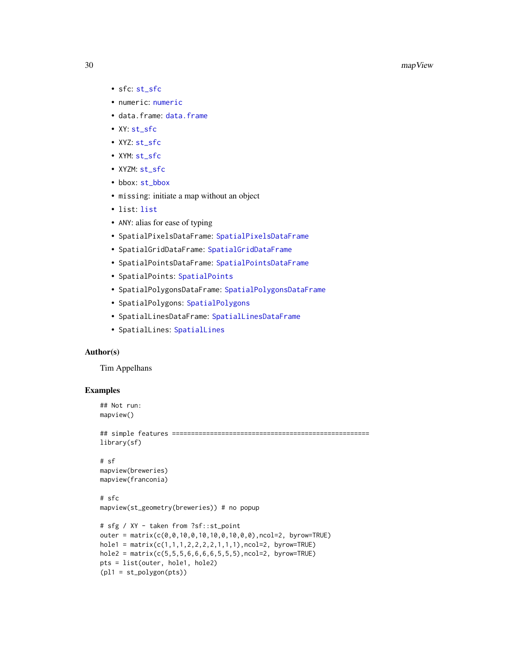- <span id="page-29-0"></span>• sfc: [st\\_sfc](#page-0-0)
- numeric: [numeric](#page-0-0)
- data.frame: [data.frame](#page-0-0)
- XY: [st\\_sfc](#page-0-0)
- XYZ: [st\\_sfc](#page-0-0)
- XYM: [st\\_sfc](#page-0-0)
- XYZM: [st\\_sfc](#page-0-0)
- bbox: [st\\_bbox](#page-0-0)
- missing: initiate a map without an object
- list: [list](#page-0-0)
- ANY: alias for ease of typing
- SpatialPixelsDataFrame: [SpatialPixelsDataFrame](#page-0-0)
- SpatialGridDataFrame: [SpatialGridDataFrame](#page-0-0)
- SpatialPointsDataFrame: [SpatialPointsDataFrame](#page-0-0)
- SpatialPoints: [SpatialPoints](#page-0-0)
- SpatialPolygonsDataFrame: [SpatialPolygonsDataFrame](#page-0-0)
- SpatialPolygons: [SpatialPolygons](#page-0-0)
- SpatialLinesDataFrame: [SpatialLinesDataFrame](#page-0-0)
- SpatialLines: [SpatialLines](#page-0-0)

## Author(s)

Tim Appelhans

## Examples

```
## Not run:
mapview()
```

```
## simple features ====================================================
library(sf)
```

```
# sf
mapview(breweries)
mapview(franconia)
```

```
# sfc
mapview(st_geometry(breweries)) # no popup
```

```
# sfg / XY - taken from ?sf::st_point
outer = matrix(c(0,0,10,0,10,10,0,10,0,0),ncol=2, byrow=TRUE)
hole1 = matrix(c(1, 1, 1, 2, 2, 2, 2, 1, 1, 1), ncol=2, byrow=TRUE)hole2 = matrix(c(5, 5, 5, 6, 6, 6, 6, 5, 5, 5), ncol=2, byrow=TRUE)pts = list(outer, hole1, hole2)
(pl1 = st_polygon(pts))
```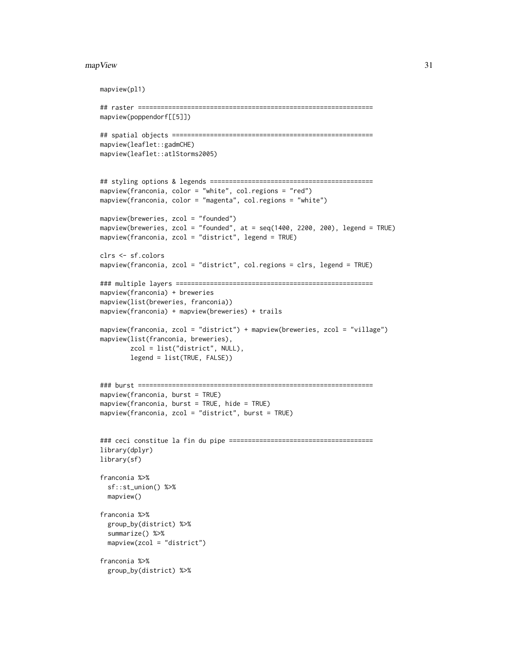#### mapView 31

```
mapview(pl1)
## raster ==============================================================
mapview(poppendorf[[5]])
## spatial objects =====================================================
mapview(leaflet::gadmCHE)
mapview(leaflet::atlStorms2005)
## styling options & legends ===========================================
mapview(franconia, color = "white", col.regions = "red")
mapview(franconia, color = "magenta", col.regions = "white")
mapview(breweries, zcol = "founded")
mapview(breweries, zcol = "founded", at = seq(1400, 2200, 200), legend = TRUE)
mapview(franconia, zcol = "district", legend = TRUE)
clrs <- sf.colors
mapview(franconia, zcol = "district", col.regions = clrs, legend = TRUE)
### multiple layers ====================================================
mapview(franconia) + breweries
mapview(list(breweries, franconia))
mapview(franconia) + mapview(breweries) + trails
mapview(franconia, zcol = "district") + mapview(breweries, zcol = "village")
mapview(list(franconia, breweries),
        zcol = list("district", NULL),
        legend = list(TRUE, FALSE))
### burst ==============================================================
mapview(franconia, burst = TRUE)
mapview(franconia, burst = TRUE, hide = TRUE)
mapview(franconia, zcol = "district", burst = TRUE)
### ceci constitue la fin du pipe ======================================
library(dplyr)
library(sf)
franconia %>%
  sf::st_union() %>%
  mapview()
franconia %>%
  group_by(district) %>%
  summarize() %>%
  mapview(zcol = "district")
franconia %>%
  group_by(district) %>%
```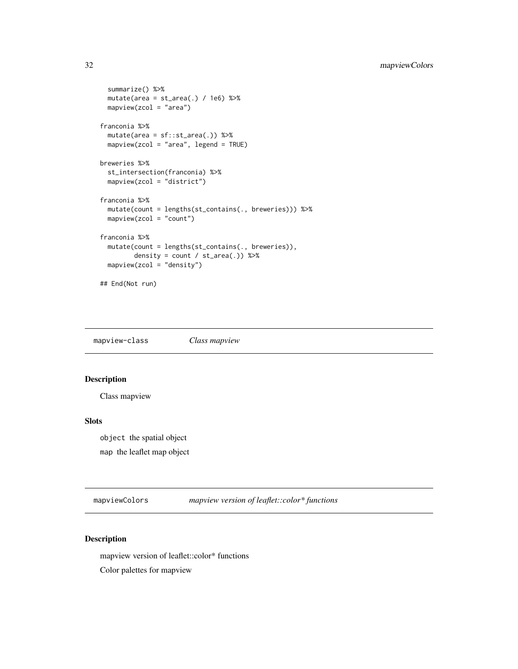```
summarize() %>%
 mutate(area = st_area(.) / 1e6) %mapview(zcol = "area")
franconia %>%
 mutate(area = sf::st_area(.)) %>%
 mapview(zcol = "area", legend = TRUE)breweries %>%
 st_intersection(franconia) %>%
 mapview(zcol = "district")
franconia %>%
 mutate(count = lengths(st_contains(., breweries))) %>%
 mapview(zcol = "count")
franconia %>%
 mutate(count = lengths(st_contains(., breweries)),
        density = count / st_area(.) %>%
 mapview(zcol = "density")
## End(Not run)
```
mapview-class *Class mapview*

## Description

Class mapview

#### Slots

object the spatial object map the leaflet map object

mapviewColors *mapview version of leaflet::color\* functions*

## Description

mapview version of leaflet::color\* functions

Color palettes for mapview

<span id="page-31-0"></span>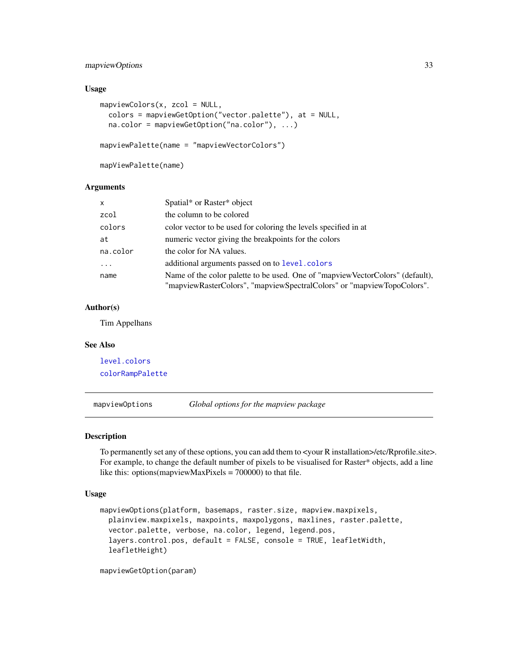## <span id="page-32-0"></span>mapviewOptions 33

## Usage

```
mapviewColors(x, zcol = NULL,
 colors = mapviewGetOption("vector.palette"), at = NULL,
 na.color = mapviewGetOption("na.color"), ...)
mapviewPalette(name = "mapviewVectorColors")
```
mapViewPalette(name)

#### **Arguments**

| $\mathsf{x}$ | Spatial* or Raster* object                                                                                                                               |
|--------------|----------------------------------------------------------------------------------------------------------------------------------------------------------|
| zcol         | the column to be colored                                                                                                                                 |
| colors       | color vector to be used for coloring the levels specified in at                                                                                          |
| at           | numeric vector giving the breakpoints for the colors                                                                                                     |
| na.color     | the color for NA values.                                                                                                                                 |
|              | additional arguments passed on to level.colors                                                                                                           |
| name         | Name of the color palette to be used. One of "mapview VectorColors" (default),<br>"mapviewRasterColors", "mapviewSpectralColors" or "mapviewTopoColors". |

## Author(s)

Tim Appelhans

## See Also

[level.colors](#page-0-0) [colorRampPalette](#page-0-0)

mapviewOptions *Global options for the mapview package*

#### Description

To permanently set any of these options, you can add them to <your R installation>/etc/Rprofile.site>. For example, to change the default number of pixels to be visualised for Raster\* objects, add a line like this: options(mapviewMaxPixels = 700000) to that file.

#### Usage

```
mapviewOptions(platform, basemaps, raster.size, mapview.maxpixels,
 plainview.maxpixels, maxpoints, maxpolygons, maxlines, raster.palette,
  vector.palette, verbose, na.color, legend, legend.pos,
  layers.control.pos, default = FALSE, console = TRUE, leafletWidth,
  leafletHeight)
```
mapviewGetOption(param)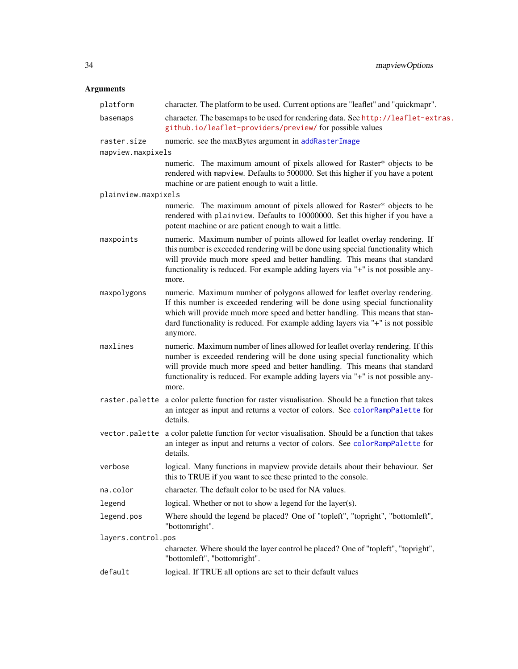<span id="page-33-0"></span>

| platform            | character. The platform to be used. Current options are "leaflet" and "quickmapr".                                                                                                                                                                                                                                                           |
|---------------------|----------------------------------------------------------------------------------------------------------------------------------------------------------------------------------------------------------------------------------------------------------------------------------------------------------------------------------------------|
| basemaps            | character. The basemaps to be used for rendering data. See http://leaflet-extras.<br>github.io/leaflet-providers/preview/ for possible values                                                                                                                                                                                                |
| raster.size         | numeric. see the maxBytes argument in addRasterImage                                                                                                                                                                                                                                                                                         |
| mapview.maxpixels   |                                                                                                                                                                                                                                                                                                                                              |
|                     | numeric. The maximum amount of pixels allowed for Raster* objects to be<br>rendered with mapview. Defaults to 500000. Set this higher if you have a potent<br>machine or are patient enough to wait a little.                                                                                                                                |
| plainview.maxpixels |                                                                                                                                                                                                                                                                                                                                              |
|                     | numeric. The maximum amount of pixels allowed for Raster* objects to be<br>rendered with plainview. Defaults to 10000000. Set this higher if you have a<br>potent machine or are patient enough to wait a little.                                                                                                                            |
| maxpoints           | numeric. Maximum number of points allowed for leaflet overlay rendering. If<br>this number is exceeded rendering will be done using special functionality which<br>will provide much more speed and better handling. This means that standard<br>functionality is reduced. For example adding layers via "+" is not possible any-<br>more.   |
| maxpolygons         | numeric. Maximum number of polygons allowed for leaflet overlay rendering.<br>If this number is exceeded rendering will be done using special functionality<br>which will provide much more speed and better handling. This means that stan-<br>dard functionality is reduced. For example adding layers via "+" is not possible<br>anymore. |
| maxlines            | numeric. Maximum number of lines allowed for leaflet overlay rendering. If this<br>number is exceeded rendering will be done using special functionality which<br>will provide much more speed and better handling. This means that standard<br>functionality is reduced. For example adding layers via "+" is not possible any-<br>more.    |
| raster.palette      | a color palette function for raster visualisation. Should be a function that takes<br>an integer as input and returns a vector of colors. See colorRampPalette for<br>details.                                                                                                                                                               |
| vector.palette      | a color palette function for vector visualisation. Should be a function that takes<br>an integer as input and returns a vector of colors. See colorRampPalette for<br>details.                                                                                                                                                               |
| verbose             | logical. Many functions in mapview provide details about their behaviour. Set<br>this to TRUE if you want to see these printed to the console.                                                                                                                                                                                               |
| na.color            | character. The default color to be used for NA values.                                                                                                                                                                                                                                                                                       |
| legend              | logical. Whether or not to show a legend for the layer(s).                                                                                                                                                                                                                                                                                   |
| legend.pos          | Where should the legend be placed? One of "topleft", "topright", "bottomleft",<br>"bottomright".                                                                                                                                                                                                                                             |
| layers.control.pos  |                                                                                                                                                                                                                                                                                                                                              |
|                     | character. Where should the layer control be placed? One of "topleft", "topright",<br>"bottomleft", "bottomright".                                                                                                                                                                                                                           |
| default             | logical. If TRUE all options are set to their default values                                                                                                                                                                                                                                                                                 |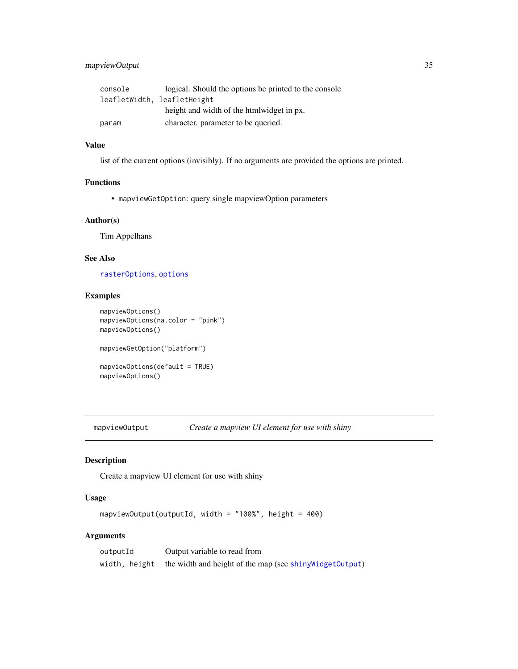## <span id="page-34-0"></span>mapviewOutput 35

| console | logical. Should the options be printed to the console |
|---------|-------------------------------------------------------|
|         | leafletWidth, leafletHeight                           |
|         | height and width of the htmlwidget in px.             |
| param   | character, parameter to be queried.                   |

## Value

list of the current options (invisibly). If no arguments are provided the options are printed.

## Functions

• mapviewGetOption: query single mapviewOption parameters

## Author(s)

Tim Appelhans

## See Also

[rasterOptions](#page-0-0), [options](#page-0-0)

#### Examples

```
mapviewOptions()
mapviewOptions(na.color = "pink")
mapviewOptions()
mapviewGetOption("platform")
mapviewOptions(default = TRUE)
mapviewOptions()
```
mapviewOutput *Create a mapview UI element for use with shiny*

## Description

Create a mapview UI element for use with shiny

## Usage

```
mapviewOutput(outputId, width = "100%", height = 400)
```

| outputId | Output variable to read from                                            |
|----------|-------------------------------------------------------------------------|
|          | width, height the width and height of the map (see shiny Widget Output) |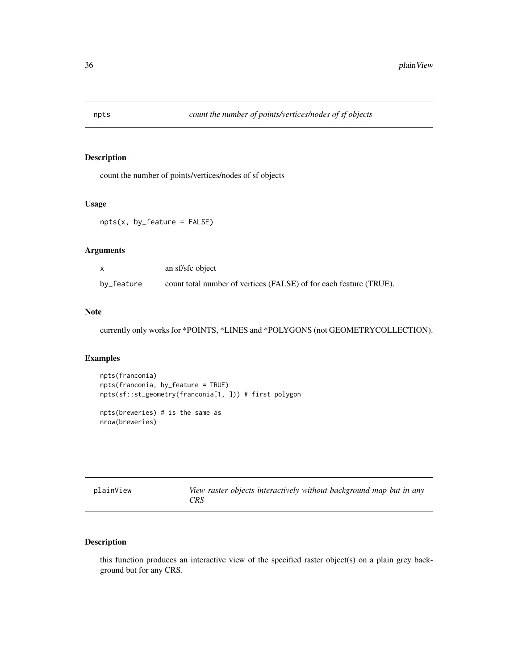<span id="page-35-0"></span>

## Description

count the number of points/vertices/nodes of sf objects

## Usage

```
npts(x, by_feature = FALSE)
```
## Arguments

|            | an sf/sfc object                                                   |
|------------|--------------------------------------------------------------------|
| by_feature | count total number of vertices (FALSE) of for each feature (TRUE). |

## Note

currently only works for \*POINTS, \*LINES and \*POLYGONS (not GEOMETRYCOLLECTION).

## Examples

```
npts(franconia)
npts(franconia, by_feature = TRUE)
npts(sf::st_geometry(franconia[1, ])) # first polygon
```

```
npts(breweries) # is the same as
nrow(breweries)
```

| plainView |     | View raster objects interactively without background map but in any |  |  |  |
|-----------|-----|---------------------------------------------------------------------|--|--|--|
|           | CRS |                                                                     |  |  |  |

## Description

this function produces an interactive view of the specified raster object(s) on a plain grey background but for any CRS.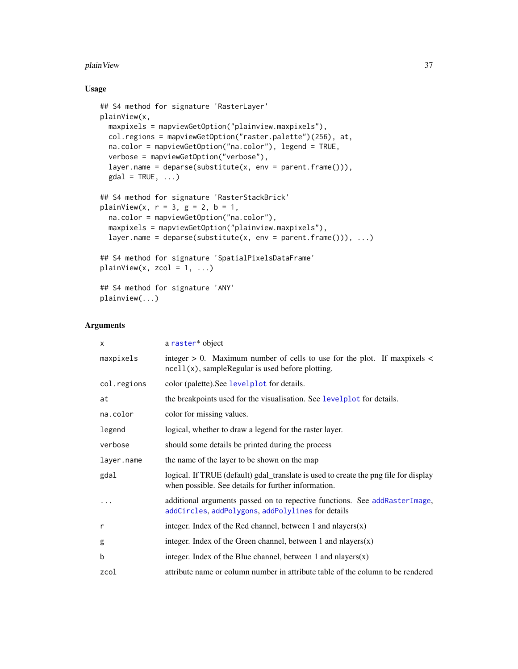#### <span id="page-36-0"></span>plainView 37

## Usage

```
## S4 method for signature 'RasterLayer'
plainView(x,
 maxpixels = mapviewGetOption("plainview.maxpixels"),
  col.regions = mapviewGetOption("raster.palette")(256), at,
  na.color = mapviewGetOption("na.color"), legend = TRUE,
  verbose = mapviewGetOption("verbose"),
  layer.name = deparse(substitute(x, env = parent.frame())),
  \text{gdal} = \text{TRUE}, \dots## S4 method for signature 'RasterStackBrick'
plainView(x, r = 3, g = 2, b = 1,
  na.color = mapviewGetOption("na.color"),
  maxpixels = mapviewGetOption("plainview.maxpixels"),
  layer.name = deparse(substitute(x, env = parent.frame())), ...)
## S4 method for signature 'SpatialPixelsDataFrame'
plainView(x, zcol = 1, ...)## S4 method for signature 'ANY'
plainview(...)
```

| $\times$    | a raster* object                                                                                                                            |
|-------------|---------------------------------------------------------------------------------------------------------------------------------------------|
| maxpixels   | integer $> 0$ . Maximum number of cells to use for the plot. If maxpixels $<$<br>$ne$ l $(x)$ , sampleRegular is used before plotting.      |
| col.regions | color (palette). See levelplot for details.                                                                                                 |
| at          | the breakpoints used for the visualisation. See levelplot for details.                                                                      |
| na.color    | color for missing values.                                                                                                                   |
| legend      | logical, whether to draw a legend for the raster layer.                                                                                     |
| verbose     | should some details be printed during the process                                                                                           |
| layer.name  | the name of the layer to be shown on the map                                                                                                |
| gdal        | logical. If TRUE (default) gdal_translate is used to create the png file for display<br>when possible. See details for further information. |
| $\cdots$    | additional arguments passed on to repective functions. See addRasterImage,<br>addCircles, addPolygons, addPolylines for details             |
| r           | integer. Index of the Red channel, between 1 and nlayers $(x)$                                                                              |
| g           | integer. Index of the Green channel, between 1 and nlayers $(x)$                                                                            |
| b           | integer. Index of the Blue channel, between 1 and nlayers $(x)$                                                                             |
| zcol        | attribute name or column number in attribute table of the column to be rendered                                                             |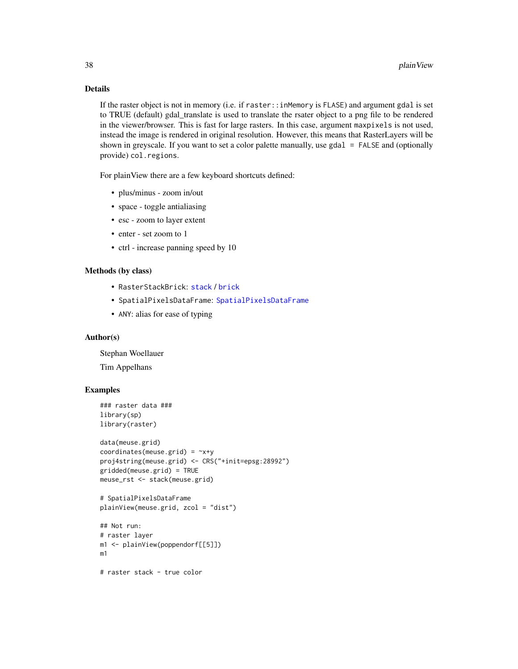## Details

If the raster object is not in memory (i.e. if raster::inMemory is FLASE) and argument gdal is set to TRUE (default) gdal\_translate is used to translate the rsater object to a png file to be rendered in the viewer/browser. This is fast for large rasters. In this case, argument maxpixels is not used, instead the image is rendered in original resolution. However, this means that RasterLayers will be shown in greyscale. If you want to set a color palette manually, use gdal = FALSE and (optionally provide) col.regions.

For plainView there are a few keyboard shortcuts defined:

- plus/minus zoom in/out
- space toggle antialiasing
- esc zoom to layer extent
- enter set zoom to 1
- ctrl increase panning speed by 10

#### Methods (by class)

- RasterStackBrick: [stack](#page-0-0) / [brick](#page-0-0)
- SpatialPixelsDataFrame: [SpatialPixelsDataFrame](#page-0-0)
- ANY: alias for ease of typing

## Author(s)

Stephan Woellauer

Tim Appelhans

## Examples

```
### raster data ###
library(sp)
library(raster)
```

```
data(meuse.grid)
coordinates(meuse.grid) = -x+yproj4string(meuse.grid) <- CRS("+init=epsg:28992")
gridded(meuse.grid) = TRUE
meuse_rst <- stack(meuse.grid)
```

```
# SpatialPixelsDataFrame
plainView(meuse.grid, zcol = "dist")
```

```
## Not run:
# raster layer
m1 <- plainView(poppendorf[[5]])
m1
```
# raster stack - true color

<span id="page-37-0"></span>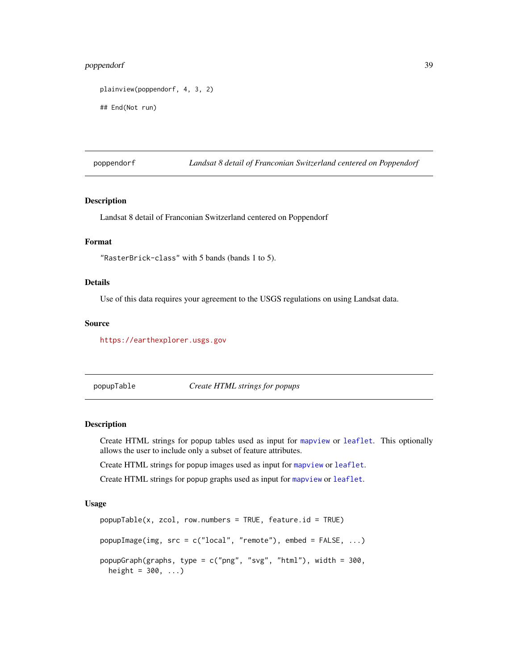## <span id="page-38-0"></span>poppendorf 39

```
plainview(poppendorf, 4, 3, 2)
```
## End(Not run)

poppendorf *Landsat 8 detail of Franconian Switzerland centered on Poppendorf*

## Description

Landsat 8 detail of Franconian Switzerland centered on Poppendorf

## Format

"RasterBrick-class" with 5 bands (bands 1 to 5).

#### Details

Use of this data requires your agreement to the USGS regulations on using Landsat data.

#### Source

<https://earthexplorer.usgs.gov>

<span id="page-38-1"></span>popupTable *Create HTML strings for popups*

#### Description

Create HTML strings for popup tables used as input for [mapview](#page-22-1) or [leaflet](#page-0-0). This optionally allows the user to include only a subset of feature attributes.

Create HTML strings for popup images used as input for [mapview](#page-22-1) or [leaflet](#page-0-0).

Create HTML strings for popup graphs used as input for [mapview](#page-22-1) or [leaflet](#page-0-0).

#### Usage

```
popupTable(x, zcol, row.numbers = TRUE, feature.id = TRUE)
popupImage(img, src = c("local", "remote"), embed = FALSE, ...)
popupGraph(graphs, type = c("png", "svg", "html"), width = 300,
 height = 300, ...)
```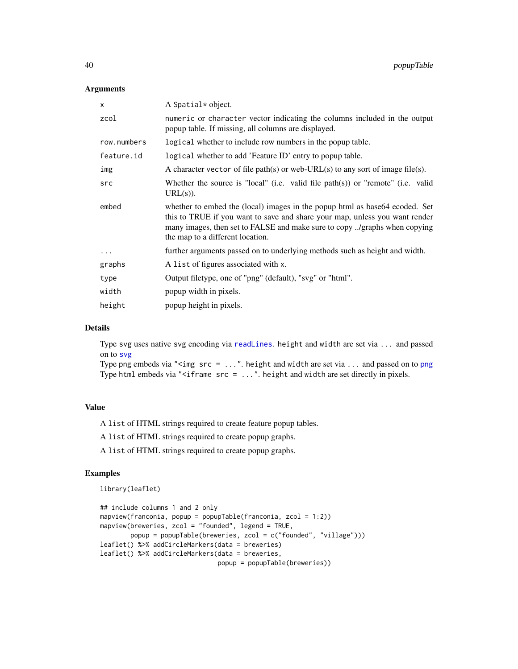## Arguments

| X           | A Spatial* object.                                                                                                                                                                                                                                                           |
|-------------|------------------------------------------------------------------------------------------------------------------------------------------------------------------------------------------------------------------------------------------------------------------------------|
| zcol        | numeric or character vector indicating the columns included in the output<br>popup table. If missing, all columns are displayed.                                                                                                                                             |
| row.numbers | logical whether to include row numbers in the popup table.                                                                                                                                                                                                                   |
| feature.id  | logical whether to add 'Feature ID' entry to popup table.                                                                                                                                                                                                                    |
| img         | A character vector of file path(s) or web-URL(s) to any sort of image file(s).                                                                                                                                                                                               |
| src         | Whether the source is "local" (i.e. valid file path(s)) or "remote" (i.e. valid<br>$URL(s)$ ).                                                                                                                                                                               |
| embed       | whether to embed the (local) images in the popup html as base 64 ecoded. Set<br>this to TRUE if you want to save and share your map, unless you want render<br>many images, then set to FALSE and make sure to copy /graphs when copying<br>the map to a different location. |
| .           | further arguments passed on to underlying methods such as height and width.                                                                                                                                                                                                  |
| graphs      | A list of figures associated with x.                                                                                                                                                                                                                                         |
| type        | Output filetype, one of "png" (default), "svg" or "html".                                                                                                                                                                                                                    |
| width       | popup width in pixels.                                                                                                                                                                                                                                                       |
| height      | popup height in pixels.                                                                                                                                                                                                                                                      |

#### Details

Type svg uses native svg encoding via [readLines](#page-0-0). height and width are set via ... and passed on to [svg](#page-0-0)

Type [png](#page-0-0) embeds via "<img  $src = ...$ ". height and width are set via ... and passed on to png Type html embeds via "<iframe  $src = ...$ ". height and width are set directly in pixels.

## Value

A list of HTML strings required to create feature popup tables.

A list of HTML strings required to create popup graphs.

A list of HTML strings required to create popup graphs.

## Examples

```
library(leaflet)
```

```
## include columns 1 and 2 only
mapview(franconia, popup = popupTable(franconia, zcol = 1:2))
mapview(breweries, zcol = "founded", legend = TRUE,
       popup = popupTable(breweries, zcol = c("founded", "village")))
leaflet() %>% addCircleMarkers(data = breweries)
leaflet() %>% addCircleMarkers(data = breweries,
                               popup = popupTable(breweries))
```
<span id="page-39-0"></span>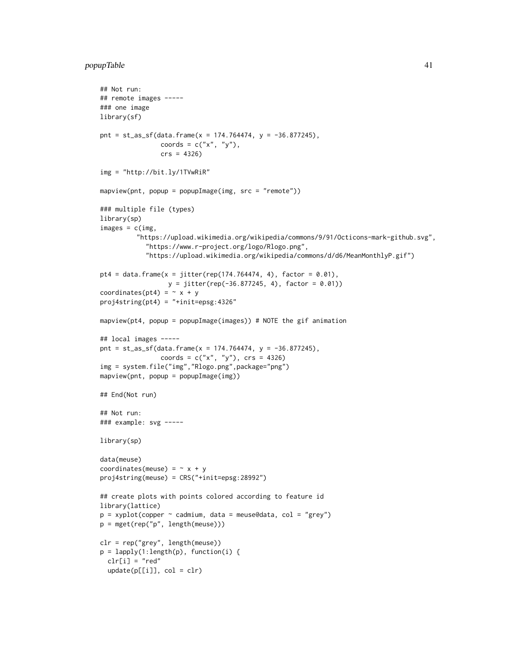```
## Not run:
## remote images -----
### one image
library(sf)
pnt = st_as_sf(data.frame(x = 174.764474, y = -36.877245),
                coords = c("x", "y"),crs = 4326)
img = "http://bit.ly/1TVwRiR"
mapview(pnt, popup = popupImage(img, src = "remote"))### multiple file (types)
library(sp)
images = c(img,"https://upload.wikimedia.org/wikipedia/commons/9/91/Octicons-mark-github.svg",
            "https://www.r-project.org/logo/Rlogo.png",
            "https://upload.wikimedia.org/wikipedia/commons/d/d6/MeanMonthlyP.gif")
pt4 = data.frame(x = jitter(rep(174.764474, 4), factor = 0.01),y = jitter(rep(-36.877245, 4), factor = 0.01))
coordinates(pt4) = ~ x + yproj4string(pt4) = "+init=epsg:4326"
mapview(pt4, popup = popupImage(images)) # NOTE the gif animation
## local images -----
pnt = st_as_sf(data.frame(x = 174.764474, y = -36.877245),
                coords = c("x", "y"), crs = 4326)
img = system.file("img","Rlogo.png",package="png")
mapview(pnt, popup = popupImage(img))
## End(Not run)
## Not run:
### example: svg -----
library(sp)
data(meuse)
coordinates(meuse) = ~ x + yproj4string(meuse) = CRS("+init=epsg:28992")
## create plots with points colored according to feature id
library(lattice)
p = xyplot(copper ~ column, data = meuse@data, col = "grey")p = mget(rep("p", length(meuse)))
clr = rep("grey", length(meuse))
p = \text{lapply}(1:\text{length}(p), \text{ function}(i)clr[i] = "red"update(p[[i]], col = clr)
```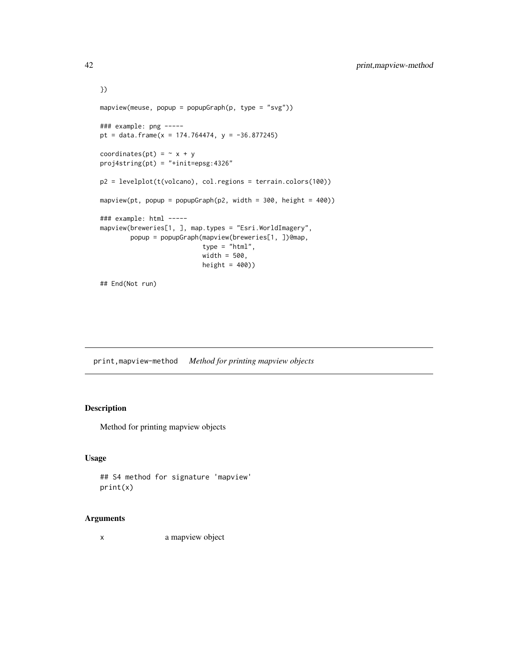```
})
mapview(meuse, popup = popupGraph(p, type = "svg"))
### example: png -----
pt = data.frame(x = 174.764474, y = -36.877245)
coordinates(pt) = \sim x + y
proj4string(pt) = "+init=epsg:4326"
p2 = levelplot(t(volcano), col.regions = terrain.colors(100))
mapview(pt, popup = popupGraph(p2, width = 300, height = 400))
### example: html -----
mapview(breweries[1, ], map.types = "Esri.WorldImagery",
        popup = popupGraph(mapview(breweries[1, ])@map,
                           type = "html",
                           width = 500,
                           height = 400))
## End(Not run)
```
print,mapview-method *Method for printing mapview objects*

## Description

Method for printing mapview objects

#### Usage

```
## S4 method for signature 'mapview'
print(x)
```
## Arguments

x a mapview object

<span id="page-41-0"></span>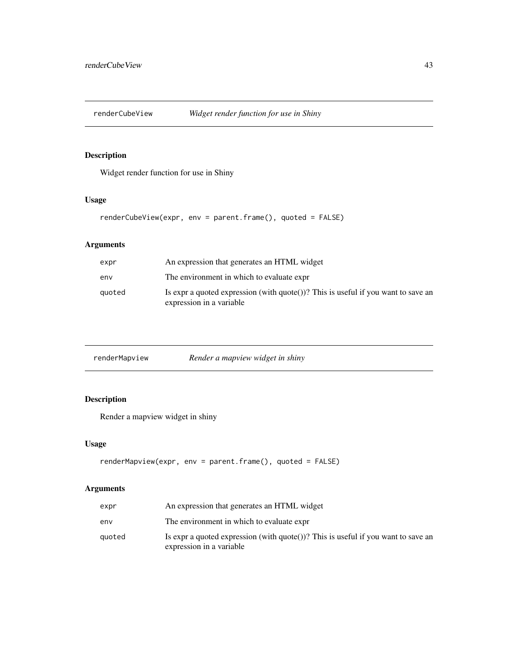<span id="page-42-0"></span>

## Description

Widget render function for use in Shiny

## Usage

renderCubeView(expr, env = parent.frame(), quoted = FALSE)

## Arguments

| expr   | An expression that generates an HTML widget                                                                             |
|--------|-------------------------------------------------------------------------------------------------------------------------|
| env    | The environment in which to evaluate expr                                                                               |
| quoted | Is expr a quoted expression (with $\text{quote}()$ )? This is useful if you want to save an<br>expression in a variable |

| renderMapview | Render a mapview widget in shiny |  |  |
|---------------|----------------------------------|--|--|
|               |                                  |  |  |

## Description

Render a mapview widget in shiny

## Usage

```
renderMapview(expr, env = parent.frame(), quoted = FALSE)
```

| expr   | An expression that generates an HTML widget                                                                   |
|--------|---------------------------------------------------------------------------------------------------------------|
| env    | The environment in which to evaluate expr                                                                     |
| auoted | Is expr a quoted expression (with quote())? This is useful if you want to save an<br>expression in a variable |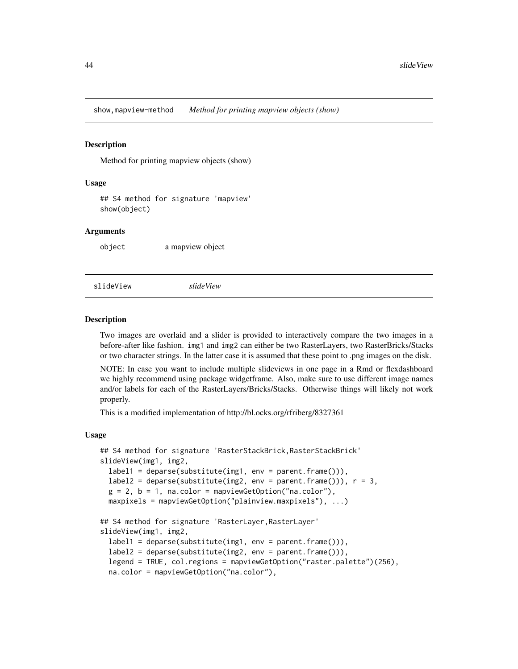<span id="page-43-0"></span>show,mapview-method *Method for printing mapview objects (show)*

#### **Description**

Method for printing mapview objects (show)

#### Usage

## S4 method for signature 'mapview' show(object)

#### **Arguments**

object a mapview object

slideView *slideView*

#### Description

Two images are overlaid and a slider is provided to interactively compare the two images in a before-after like fashion. img1 and img2 can either be two RasterLayers, two RasterBricks/Stacks or two character strings. In the latter case it is assumed that these point to .png images on the disk.

NOTE: In case you want to include multiple slideviews in one page in a Rmd or flexdashboard we highly recommend using package widgetframe. Also, make sure to use different image names and/or labels for each of the RasterLayers/Bricks/Stacks. Otherwise things will likely not work properly.

This is a modified implementation of http://bl.ocks.org/rfriberg/8327361

#### Usage

```
## S4 method for signature 'RasterStackBrick, RasterStackBrick'
slideView(img1, img2,
  label1 = deparse(substitute(img1, env = parent.frame())),
  label2 = <math>deparse(substitute(img2, env = parent.find())</math>, <math>r = 3</math>,g = 2, b = 1, na.color = mapviewGetOption("na.color"),
 maxpixels = mapviewGetOption("plainview.maxpixels"), ...)
## S4 method for signature 'RasterLayer,RasterLayer'
slideView(img1, img2,
  label1 = <math>deparse(substitute(img1, env = parent.find()),label2 = deparse(substitute(img2, env = parent.frame())),
  legend = TRUE, col.regions = mapviewGetOption("raster.palette")(256),
  na.color = mapviewGetOption("na.color"),
```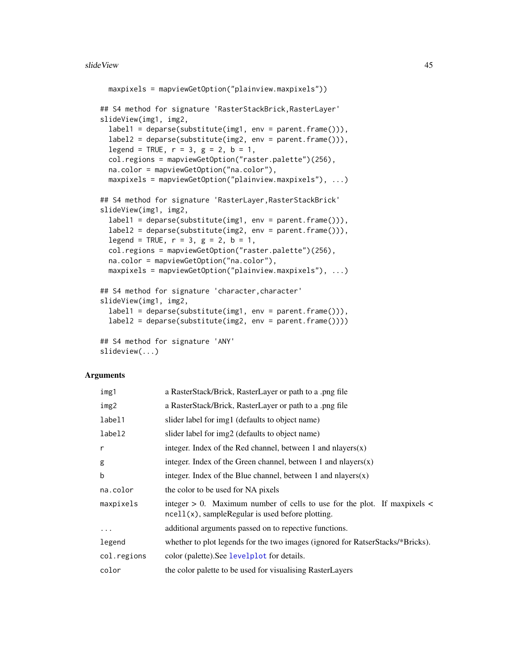```
maxpixels = mapviewGetOption("plainview.maxpixels"))
## S4 method for signature 'RasterStackBrick,RasterLayer'
slideView(img1, img2,
  label1 = deparse(substitute(img1, env = parent.frame())),
  label2 = deparse(substitute(img2, env = parent.frame())),
  legend = TRUE, r = 3, g = 2, b = 1,
  col.regions = mapviewGetOption("raster.palette")(256),
 na.color = mapviewGetOption("na.color"),
 maxpixels = mapviewGetOption("plainview.maxpixels"), ...)
## S4 method for signature 'RasterLayer,RasterStackBrick'
slideView(img1, img2,
  label1 = deparse(substitute(img1, env = parent.frame())),
  label2 = deparse(substitute(img2, env = parent.frame())),
 legend = TRUE, r = 3, g = 2, b = 1,
 col.regions = mapviewGetOption("raster.palette")(256),
 na.color = mapviewGetOption("na.color"),
 maxpixels = mapviewGetOption("plainview.maxpixels"), ...)
## S4 method for signature 'character, character'
slideView(img1, img2,
  label1 = deparse(substitute(img1, env = parent.frame())),
  label2 = deparse(substitute(img2, env = parent.frame())))
## S4 method for signature 'ANY'
slideview(...)
```

| img1         | a RasterStack/Brick, RasterLayer or path to a .png file                                                                                 |
|--------------|-----------------------------------------------------------------------------------------------------------------------------------------|
| img2         | a RasterStack/Brick, RasterLayer or path to a .png file                                                                                 |
| label1       | slider label for img1 (defaults to object name)                                                                                         |
| label2       | slider label for img2 (defaults to object name)                                                                                         |
| $\mathsf{r}$ | integer. Index of the Red channel, between 1 and nlayers $(x)$                                                                          |
| g            | integer. Index of the Green channel, between 1 and nlayers $(x)$                                                                        |
| b            | integer. Index of the Blue channel, between 1 and nlayers $(x)$                                                                         |
| na.color     | the color to be used for NA pixels                                                                                                      |
| maxpixels    | integer $> 0$ . Maximum number of cells to use for the plot. If maxpixels $<$<br>$ne$ ll $(x)$ , sampleRegular is used before plotting. |
| $\cdots$     | additional arguments passed on to repective functions.                                                                                  |
| legend       | whether to plot legends for the two images (ignored for RatserStacks/*Bricks).                                                          |
| col.regions  | color (palette). See levelplot for details.                                                                                             |
| color        | the color palette to be used for visualising RasterLayers                                                                               |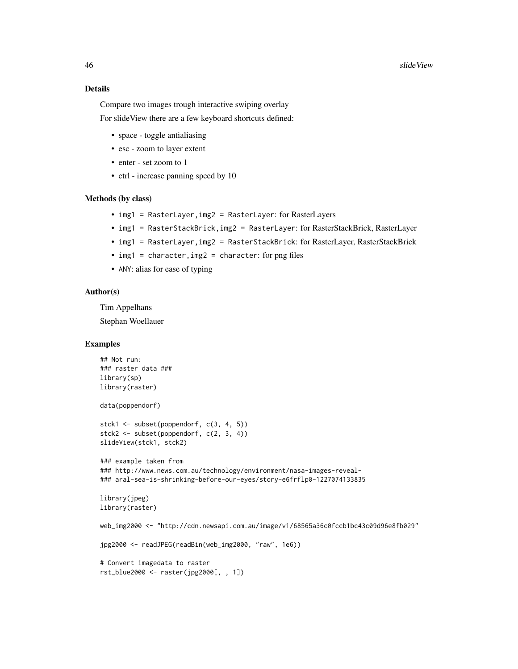## Details

Compare two images trough interactive swiping overlay

For slideView there are a few keyboard shortcuts defined:

- space toggle antialiasing
- esc zoom to layer extent
- enter set zoom to 1
- ctrl increase panning speed by 10

#### Methods (by class)

- img1 = RasterLayer,img2 = RasterLayer: for RasterLayers
- img1 = RasterStackBrick,img2 = RasterLayer: for RasterStackBrick, RasterLayer
- img1 = RasterLayer, img2 = RasterStackBrick: for RasterLayer, RasterStackBrick
- img1 = character, img2 = character: for png files
- ANY: alias for ease of typing

#### Author(s)

Tim Appelhans Stephan Woellauer

## Examples

```
## Not run:
### raster data ###
library(sp)
library(raster)
data(poppendorf)
stck1 <- subset(poppendorf, c(3, 4, 5))
stck2 <- subset(poppendorf, c(2, 3, 4))
slideView(stck1, stck2)
### example taken from
### http://www.news.com.au/technology/environment/nasa-images-reveal-
### aral-sea-is-shrinking-before-our-eyes/story-e6frflp0-1227074133835
library(jpeg)
library(raster)
web_img2000 <- "http://cdn.newsapi.com.au/image/v1/68565a36c0fccb1bc43c09d96e8fb029"
jpg2000 <- readJPEG(readBin(web_img2000, "raw", 1e6))
# Convert imagedata to raster
rst_blue2000 <- raster(jpg2000[, , 1])
```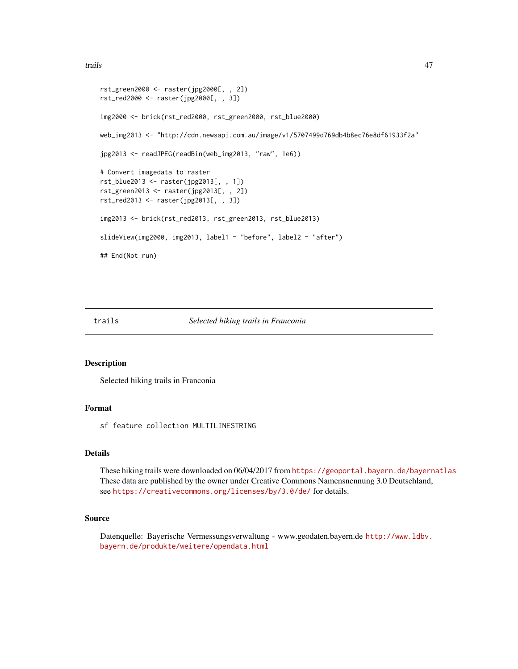<span id="page-46-0"></span>trails and the contract of the contract of the contract of the contract of the contract of the contract of the contract of the contract of the contract of the contract of the contract of the contract of the contract of the

```
rst_green2000 <- raster(jpg2000[, , 2])
rst_red2000 <- raster(jpg2000[, , 3])
img2000 <- brick(rst_red2000, rst_green2000, rst_blue2000)
web_img2013 <- "http://cdn.newsapi.com.au/image/v1/5707499d769db4b8ec76e8df61933f2a"
jpg2013 <- readJPEG(readBin(web_img2013, "raw", 1e6))
# Convert imagedata to raster
rst_blue2013 <- raster(jpg2013[, , 1])
rst_green2013 <- raster(jpg2013[, , 2])
rst_red2013 <- raster(jpg2013[, , 3])
img2013 <- brick(rst_red2013, rst_green2013, rst_blue2013)
slideView(img2000, img2013, label1 = "before", label2 = "after")
## End(Not run)
```
trails *Selected hiking trails in Franconia*

#### Description

Selected hiking trails in Franconia

## Format

sf feature collection MULTILINESTRING

## Details

These hiking trails were downloaded on 06/04/2017 from <https://geoportal.bayern.de/bayernatlas> These data are published by the owner under Creative Commons Namensnennung 3.0 Deutschland, see <https://creativecommons.org/licenses/by/3.0/de/> for details.

#### Source

Datenquelle: Bayerische Vermessungsverwaltung - www.geodaten.bayern.de [http://www.ldbv.](http://www.ldbv.bayern.de/produkte/weitere/opendata.html) [bayern.de/produkte/weitere/opendata.html](http://www.ldbv.bayern.de/produkte/weitere/opendata.html)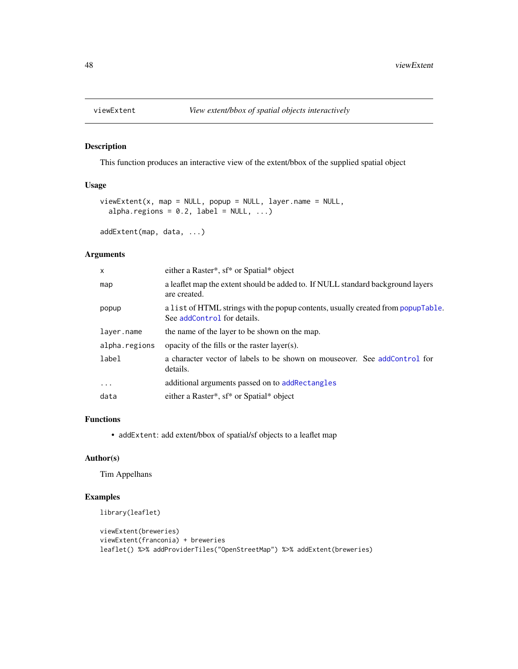<span id="page-47-0"></span>

## Description

This function produces an interactive view of the extent/bbox of the supplied spatial object

## Usage

```
viewExtent(x, map = NULL, popup = NULL, layer.name = NULL,
  alpha.regions = 0.2, label = NULL, ...)
```

```
addExtent(map, data, ...)
```
#### Arguments

| $\boldsymbol{\mathsf{x}}$ | either a Raster*, sf* or Spatial* object                                                                        |
|---------------------------|-----------------------------------------------------------------------------------------------------------------|
| map                       | a leaflet map the extent should be added to. If NULL standard background layers<br>are created.                 |
| popup                     | a list of HTML strings with the popup contents, usually created from popupTable.<br>See addControl for details. |
| layer.name                | the name of the layer to be shown on the map.                                                                   |
| alpha.regions             | opacity of the fills or the raster layer(s).                                                                    |
| label                     | a character vector of labels to be shown on mouseover. See addControl for<br>details.                           |
| $\ddots$                  | additional arguments passed on to addRectangles                                                                 |
| data                      | either a Raster*, sf* or Spatial* object                                                                        |

#### Functions

• addExtent: add extent/bbox of spatial/sf objects to a leaflet map

#### Author(s)

Tim Appelhans

## Examples

```
library(leaflet)
```

```
viewExtent(breweries)
viewExtent(franconia) + breweries
leaflet() %>% addProviderTiles("OpenStreetMap") %>% addExtent(breweries)
```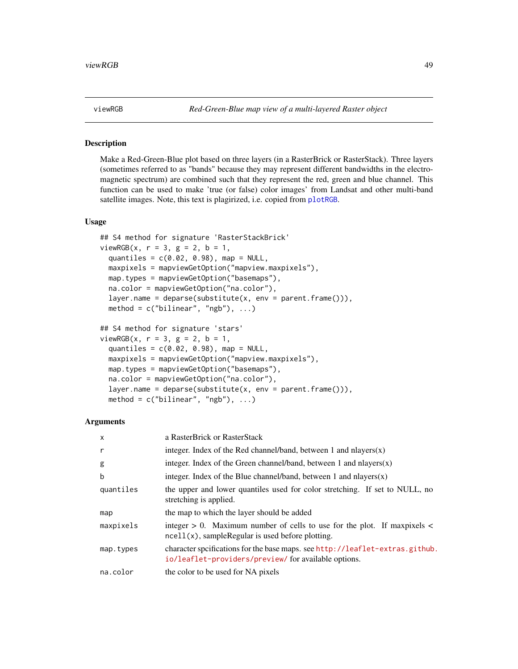<span id="page-48-0"></span>

#### Description

Make a Red-Green-Blue plot based on three layers (in a RasterBrick or RasterStack). Three layers (sometimes referred to as "bands" because they may represent different bandwidths in the electromagnetic spectrum) are combined such that they represent the red, green and blue channel. This function can be used to make 'true (or false) color images' from Landsat and other multi-band satellite images. Note, this text is plagirized, i.e. copied from [plotRGB](#page-0-0).

#### Usage

```
## S4 method for signature 'RasterStackBrick'
viewRGB(x, r = 3, g = 2, b = 1,quantiles = c(0.02, 0.98), map = NULL,
 maxpixels = mapviewGetOption("mapview.maxpixels"),
 map.types = mapviewGetOption("basemaps"),
 na.color = mapviewGetOption("na.color"),
  layer.name = deparse(substitute(x, env = parent.frame())),
 method = c("bilinear", "ngb"), ...)
## S4 method for signature 'stars'
viewRGB(x, r = 3, g = 2, b = 1,quantiles = c(0.02, 0.98), map = NULL,
 maxpixels = mapviewGetOption("mapview.maxpixels"),
 map.types = mapviewGetOption("basemaps"),
 na.color = mapviewGetOption("na.color"),
  layer.name = deparse(substitute(x, env = parent.frame())),
  method = c("bilinear", "ngb"), ...)
```

| $\mathsf{x}$ | a RasterBrick or RasterStack                                                                                                            |
|--------------|-----------------------------------------------------------------------------------------------------------------------------------------|
| r            | integer. Index of the Red channel/band, between 1 and nlayers $(x)$                                                                     |
| g            | integer. Index of the Green channel/band, between 1 and nlayers $(x)$                                                                   |
| b            | integer. Index of the Blue channel/band, between 1 and nlayers $(x)$                                                                    |
| quantiles    | the upper and lower quantiles used for color stretching. If set to NULL, no<br>stretching is applied.                                   |
| map          | the map to which the layer should be added                                                                                              |
| maxpixels    | integer $> 0$ . Maximum number of cells to use for the plot. If maxpixels $<$<br>$ne$ ll $(x)$ , sampleRegular is used before plotting. |
| map.types    | character spcifications for the base maps. see http://leaflet-extras.github.<br>io/leaflet-providers/preview/for available options.     |
| na.color     | the color to be used for NA pixels                                                                                                      |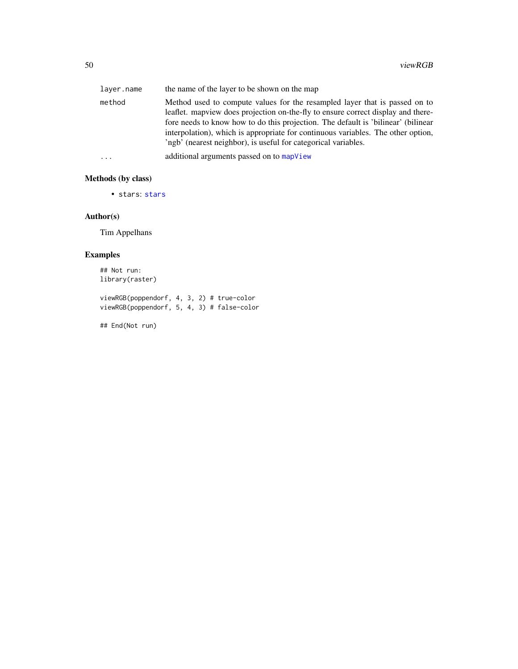<span id="page-49-0"></span>

| layer.name | the name of the layer to be shown on the map                                                                                                                                                                                                                                                                                                                                                               |
|------------|------------------------------------------------------------------------------------------------------------------------------------------------------------------------------------------------------------------------------------------------------------------------------------------------------------------------------------------------------------------------------------------------------------|
| method     | Method used to compute values for the resampled layer that is passed on to<br>leaflet. map view does projection on-the-fly to ensure correct display and there-<br>fore needs to know how to do this projection. The default is 'bilinear' (bilinear<br>interpolation), which is appropriate for continuous variables. The other option,<br>'ngb' (nearest neighbor), is useful for categorical variables. |
| $\cdots$   | additional arguments passed on to map View                                                                                                                                                                                                                                                                                                                                                                 |

## Methods (by class)

• stars: [stars](#page-0-0)

## Author(s)

Tim Appelhans

## Examples

## Not run: library(raster)

viewRGB(poppendorf, 4, 3, 2) # true-color viewRGB(poppendorf, 5, 4, 3) # false-color

## End(Not run)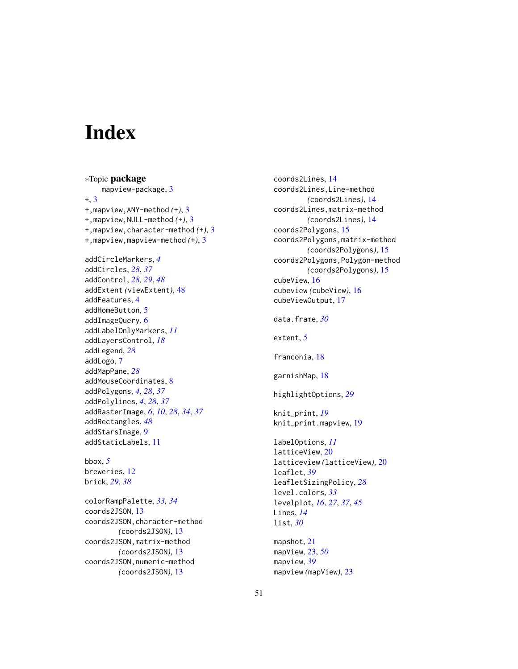# <span id="page-50-0"></span>**Index**

∗Topic package mapview-package, [3](#page-2-0) +, [3](#page-2-0) +,mapview,ANY-method *(*+*)*, [3](#page-2-0) +,mapview,NULL-method *(*+*)*, [3](#page-2-0) +,mapview,character-method *(*+*)*, [3](#page-2-0) +,mapview,mapview-method *(*+*)*, [3](#page-2-0) addCircleMarkers, *[4](#page-3-0)* addCircles, *[28](#page-27-0)*, *[37](#page-36-0)* addControl, *[28,](#page-27-0) [29](#page-28-0)*, *[48](#page-47-0)* addExtent *(*viewExtent*)*, [48](#page-47-0) addFeatures, [4](#page-3-0) addHomeButton, [5](#page-4-0) addImageQuery, [6](#page-5-0) addLabelOnlyMarkers, *[11](#page-10-0)* addLayersControl, *[18](#page-17-0)* addLegend, *[28](#page-27-0)* addLogo, [7](#page-6-0) addMapPane, *[28](#page-27-0)* addMouseCoordinates, [8](#page-7-0) addPolygons, *[4](#page-3-0)*, *[28](#page-27-0)*, *[37](#page-36-0)* addPolylines, *[4](#page-3-0)*, *[28](#page-27-0)*, *[37](#page-36-0)* addRasterImage, *[6](#page-5-0)*, *[10](#page-9-0)*, *[28](#page-27-0)*, *[34](#page-33-0)*, *[37](#page-36-0)* addRectangles, *[48](#page-47-0)* addStarsImage, [9](#page-8-0) addStaticLabels, [11](#page-10-0) bbox, *[5](#page-4-0)* breweries, [12](#page-11-0) brick, *[29](#page-28-0)*, *[38](#page-37-0)* colorRampPalette, *[33,](#page-32-0) [34](#page-33-0)*

coords2JSON, [13](#page-12-0) coords2JSON,character-method *(*coords2JSON*)*, [13](#page-12-0) coords2JSON,matrix-method *(*coords2JSON*)*, [13](#page-12-0) coords2JSON,numeric-method *(*coords2JSON*)*, [13](#page-12-0)

coords2Lines, [14](#page-13-0) coords2Lines,Line-method *(*coords2Lines*)*, [14](#page-13-0) coords2Lines,matrix-method *(*coords2Lines*)*, [14](#page-13-0) coords2Polygons, [15](#page-14-0) coords2Polygons,matrix-method *(*coords2Polygons*)*, [15](#page-14-0) coords2Polygons,Polygon-method *(*coords2Polygons*)*, [15](#page-14-0) cubeView, [16](#page-15-0) cubeview *(*cubeView*)*, [16](#page-15-0) cubeViewOutput, [17](#page-16-0) data.frame, *[30](#page-29-0)* extent, *[5](#page-4-0)* franconia, [18](#page-17-0) garnishMap, [18](#page-17-0) highlightOptions, *[29](#page-28-0)* knit\_print, *[19](#page-18-0)* knit\_print.mapview, [19](#page-18-0) labelOptions, *[11](#page-10-0)* latticeView, [20](#page-19-0) latticeview *(*latticeView*)*, [20](#page-19-0) leaflet, *[39](#page-38-0)* leafletSizingPolicy, *[28](#page-27-0)* level.colors, *[33](#page-32-0)* levelplot, *[16](#page-15-0)*, *[27](#page-26-0)*, *[37](#page-36-0)*, *[45](#page-44-0)* Lines, *[14](#page-13-0)* list, *[30](#page-29-0)* mapshot, [21](#page-20-0) mapView, [23,](#page-22-0) *[50](#page-49-0)* mapview, *[39](#page-38-0)* mapview *(*mapView*)*, [23](#page-22-0)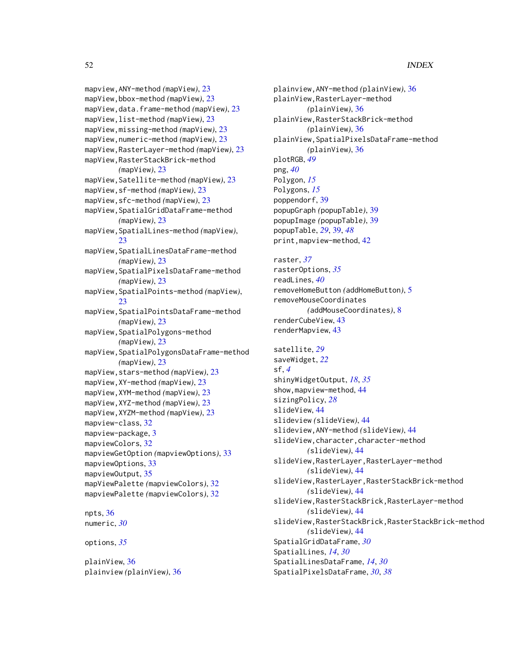mapview,ANY-method *(*mapView*)*, [23](#page-22-0) mapView,bbox-method *(*mapView*)*, [23](#page-22-0) mapView,data.frame-method *(*mapView*)*, [23](#page-22-0) mapView,list-method *(*mapView*)*, [23](#page-22-0) mapView,missing-method *(*mapView*)*, [23](#page-22-0) mapView,numeric-method *(*mapView*)*, [23](#page-22-0) mapView,RasterLayer-method *(*mapView*)*, [23](#page-22-0) mapView,RasterStackBrick-method *(*mapView*)*, [23](#page-22-0) mapView,Satellite-method *(*mapView*)*, [23](#page-22-0) mapView,sf-method *(*mapView*)*, [23](#page-22-0) mapView,sfc-method *(*mapView*)*, [23](#page-22-0) mapView,SpatialGridDataFrame-method *(*mapView*)*, [23](#page-22-0) mapView,SpatialLines-method *(*mapView*)*, [23](#page-22-0) mapView,SpatialLinesDataFrame-method *(*mapView*)*, [23](#page-22-0) mapView,SpatialPixelsDataFrame-method *(*mapView*)*, [23](#page-22-0) mapView,SpatialPoints-method *(*mapView*)*, [23](#page-22-0) mapView,SpatialPointsDataFrame-method *(*mapView*)*, [23](#page-22-0) mapView,SpatialPolygons-method *(*mapView*)*, [23](#page-22-0) mapView,SpatialPolygonsDataFrame-method *(*mapView*)*, [23](#page-22-0) mapView,stars-method *(*mapView*)*, [23](#page-22-0) mapView,XY-method *(*mapView*)*, [23](#page-22-0) mapView,XYM-method *(*mapView*)*, [23](#page-22-0) mapView,XYZ-method *(*mapView*)*, [23](#page-22-0) mapView,XYZM-method *(*mapView*)*, [23](#page-22-0) mapview-class, [32](#page-31-0) mapview-package, [3](#page-2-0) mapviewColors, [32](#page-31-0) mapviewGetOption *(*mapviewOptions*)*, [33](#page-32-0) mapviewOptions, [33](#page-32-0) mapviewOutput, [35](#page-34-0) mapViewPalette *(*mapviewColors*)*, [32](#page-31-0) mapviewPalette *(*mapviewColors*)*, [32](#page-31-0) npts, [36](#page-35-0) numeric, *[30](#page-29-0)*

options, *[35](#page-34-0)*

plainView, [36](#page-35-0) plainview *(*plainView*)*, [36](#page-35-0)

plainview,ANY-method *(*plainView*)*, [36](#page-35-0) plainView,RasterLayer-method *(*plainView*)*, [36](#page-35-0) plainView,RasterStackBrick-method *(*plainView*)*, [36](#page-35-0) plainView,SpatialPixelsDataFrame-method *(*plainView*)*, [36](#page-35-0) plotRGB, *[49](#page-48-0)* png, *[40](#page-39-0)* Polygon, *[15](#page-14-0)* Polygons, *[15](#page-14-0)* poppendorf, [39](#page-38-0) popupGraph *(*popupTable*)*, [39](#page-38-0) popupImage *(*popupTable*)*, [39](#page-38-0) popupTable, *[29](#page-28-0)*, [39,](#page-38-0) *[48](#page-47-0)* print,mapview-method, [42](#page-41-0) raster, *[37](#page-36-0)* rasterOptions, *[35](#page-34-0)* readLines, *[40](#page-39-0)* removeHomeButton *(*addHomeButton*)*, [5](#page-4-0) removeMouseCoordinates *(*addMouseCoordinates*)*, [8](#page-7-0) renderCubeView, [43](#page-42-0) renderMapview, [43](#page-42-0) satellite, *[29](#page-28-0)* saveWidget, *[22](#page-21-0)* sf, *[4](#page-3-0)* shinyWidgetOutput, *[18](#page-17-0)*, *[35](#page-34-0)* show,mapview-method, [44](#page-43-0) sizingPolicy, *[28](#page-27-0)* slideView, [44](#page-43-0) slideview *(*slideView*)*, [44](#page-43-0) slideview,ANY-method *(*slideView*)*, [44](#page-43-0) slideView,character,character-method *(*slideView*)*, [44](#page-43-0) slideView,RasterLayer,RasterLayer-method *(*slideView*)*, [44](#page-43-0) slideView,RasterLayer,RasterStackBrick-method *(*slideView*)*, [44](#page-43-0) slideView,RasterStackBrick,RasterLayer-method *(*slideView*)*, [44](#page-43-0) slideView,RasterStackBrick,RasterStackBrick-method *(*slideView*)*, [44](#page-43-0) SpatialGridDataFrame, *[30](#page-29-0)* SpatialLines, *[14](#page-13-0)*, *[30](#page-29-0)* SpatialLinesDataFrame, *[14](#page-13-0)*, *[30](#page-29-0)* SpatialPixelsDataFrame, *[30](#page-29-0)*, *[38](#page-37-0)*